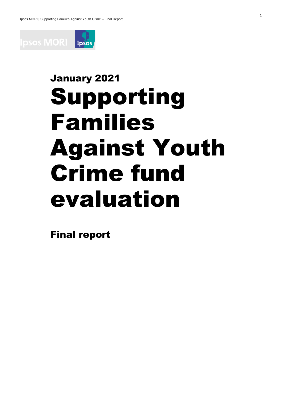

# January 2021 Supporting Families Against Youth Crime fund evaluation

1

Final report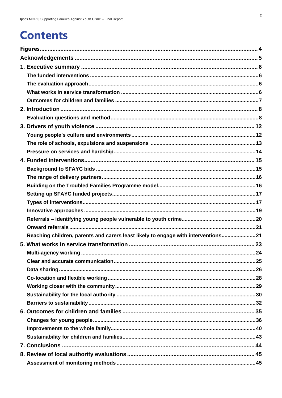### **Contents**

| Reaching children, parents and carers least likely to engage with interventions21 |
|-----------------------------------------------------------------------------------|
|                                                                                   |
|                                                                                   |
|                                                                                   |
|                                                                                   |
|                                                                                   |
|                                                                                   |
|                                                                                   |
|                                                                                   |
|                                                                                   |
|                                                                                   |
|                                                                                   |
|                                                                                   |
|                                                                                   |
|                                                                                   |
|                                                                                   |
|                                                                                   |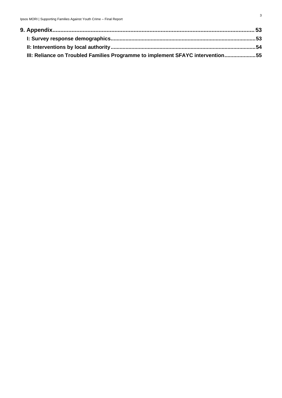| III: Reliance on Troubled Families Programme to implement SFAYC intervention55 |  |
|--------------------------------------------------------------------------------|--|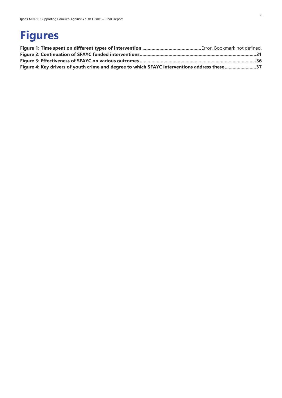### <span id="page-3-0"></span>**Figures**

| Figure 4: Key drivers of youth crime and degree to which SFAYC interventions address these 37 |  |
|-----------------------------------------------------------------------------------------------|--|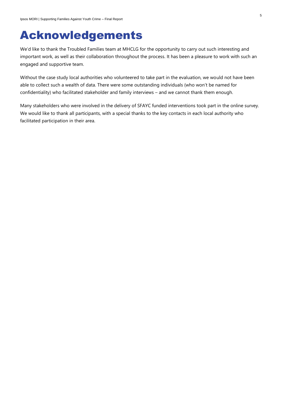### <span id="page-4-0"></span>Acknowledgements

We'd like to thank the Troubled Families team at MHCLG for the opportunity to carry out such interesting and important work, as well as their collaboration throughout the process. It has been a pleasure to work with such an engaged and supportive team.

Without the case study local authorities who volunteered to take part in the evaluation, we would not have been able to collect such a wealth of data. There were some outstanding individuals (who won't be named for confidentiality) who facilitated stakeholder and family interviews – and we cannot thank them enough.

Many stakeholders who were involved in the delivery of SFAYC funded interventions took part in the online survey. We would like to thank all participants, with a special thanks to the key contacts in each local authority who facilitated participation in their area.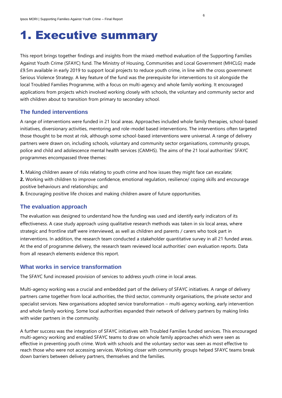### <span id="page-5-0"></span>1. Executive summary

This report brings together findings and insights from the mixed-method evaluation of the Supporting Families Against Youth Crime (SFAYC) fund. The Ministry of Housing, Communities and Local Government (MHCLG) made £9.5m available in early 2019 to support local projects to reduce youth crime, in line with the cross government Serious Violence Strategy. A key feature of the fund was the prerequisite for interventions to sit alongside the local Troubled Families Programme, with a focus on multi-agency and whole family working. It encouraged applications from projects which involved working closely with schools, the voluntary and community sector and with children about to transition from primary to secondary school.

### <span id="page-5-1"></span>**The funded interventions**

A range of interventions were funded in 21 local areas. Approaches included whole family therapies, school-based initiatives, diversionary activities, mentoring and role-model based interventions. The interventions often targeted those thought to be most at risk, although some school-based interventions were universal. A range of delivery partners were drawn on, including schools, voluntary and community sector organisations, community groups, police and child and adolescence mental health services (CAMHS). The aims of the 21 local authorities' SFAYC programmes encompassed three themes:

- **1.** Making children aware of risks relating to youth crime and how issues they might face can escalate;
- **2.** Working with children to improve confidence, emotional regulation, resilience/ coping skills and encourage positive behaviours and relationships; and
- **3.** Encouraging positive life choices and making children aware of future opportunities.

### <span id="page-5-2"></span>**The evaluation approach**

The evaluation was designed to understand how the funding was used and identify early indicators of its effectiveness. A case study approach using qualitative research methods was taken in six local areas, where strategic and frontline staff were interviewed, as well as children and parents / carers who took part in interventions. In addition, the research team conducted a stakeholder quantitative survey in all 21 funded areas. At the end of programme delivery, the research team reviewed local authorities' own evaluation reports. Data from all research elements evidence this report.

### <span id="page-5-3"></span>**What works in service transformation**

The SFAYC fund increased provision of services to address youth crime in local areas.

Multi-agency working was a crucial and embedded part of the delivery of SFAYC initiatives. A range of delivery partners came together from local authorities, the third sector, community organisations, the private sector and specialist services. New organisations adopted service transformation – multi-agency working, early intervention and whole family working. Some local authorities expanded their network of delivery partners by making links with wider partners in the community.

A further success was the integration of SFAYC initiatives with Troubled Families funded services. This encouraged multi-agency working and enabled SFAYC teams to draw on whole family approaches which were seen as effective in preventing youth crime. Work with schools and the voluntary sector was seen as most effective to reach those who were not accessing services. Working closer with community groups helped SFAYC teams break down barriers between delivery partners, themselves and the families.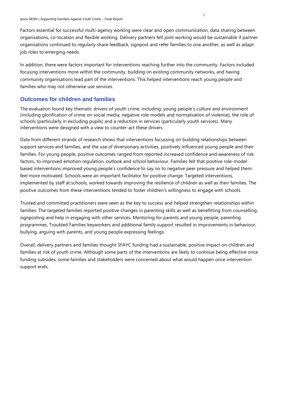Factors essential for successful multi-agency working were clear and open communication, data sharing between organisations, co-location and flexible working. Delivery partners felt joint working would be sustainable if partner organisations continued to regularly share feedback, signpost and refer families to one another, as well as adapt job roles to emerging needs.

In addition, there were factors important for interventions reaching further into the community. Factors included focusing interventions more within the community, building on existing community networks, and having community organisations lead part of the interventions. This helped interventions reach young people and families who may not otherwise use services.

### <span id="page-6-0"></span>**Outcomes for children and families**

The evaluation found key thematic drivers of youth crime, including: young people's culture and environment (including glorification of crime on social media, negative role models and normalisation of violence), the role of schools (particularly in excluding pupils) and a reduction in services (particularly youth services). Many interventions were designed with a view to counter-act these drivers.

Data from different strands of research shows that interventions focussing on building relationships between support services and families, and the use of diversionary activities, positively influenced young people and their families. For young people, positive outcomes ranged from reported increased confidence and awareness of risk factors, to improved emotion regulation, outlook and school behaviour. Families felt that positive role-model based interventions improved young people's confidence to say no to negative peer pressure and helped them feel more motivated. Schools were an important facilitator for positive change. Targeted interventions, implemented by staff at schools, worked towards improving the resilience of children as well as their families. The positive outcomes from these interventions tended to foster children's willingness to engage with schools.

Trusted and committed practitioners were seen as the key to success and helped strengthen relationships within families. The targeted families reported positive changes in parenting skills as well as benefitting from counselling, signposting and help in engaging with other services. Mentoring for parents and young people, parenting programmes, Troubled Families keyworkers and additional family support resulted in improvements in behaviour, bullying, arguing with parents, and young people expressing feelings.

Overall, delivery partners and families thought SFAYC funding had a sustainable, positive impact on children and families at risk of youth crime. Although some parts of the interventions are likely to continue being effective once funding subsides, some families and stakeholders were concerned about what would happen once intervention support ends.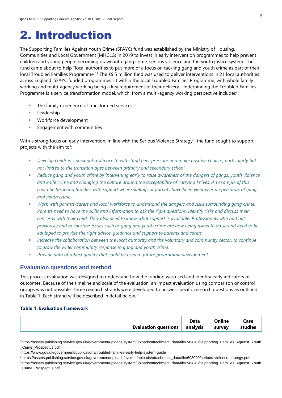### <span id="page-7-0"></span>2. Introduction

The Supporting Families Against Youth Crime (SFAYC) fund was established by the Ministry of Housing, Communities and Local Government (MHCLG) in 2019 to invest in early intervention programmes to help prevent children and young people becoming drawn into gang crime, serious violence and the youth justice system. The fund came about to help "local authorities to put more of a focus on tackling gang and youth crime as part of their local Troubled Families Programme."<sup>1</sup> The £9.5 million fund was used to deliver interventions in 21 local authorities across England. SFAYC funded programmes sit within the local Troubled Families Programme, with whole family working and multi-agency working being a key requirement of their delivery. Underpinning the Troubled Families Programme is a service transformation model, which, from a multi-agency working perspective includes<sup>2</sup>:

- The family experience of transformed services
- Leadership
- Workforce development
- **Engagement with communities**

With a strong focus on early intervention, in line with the Serious Violence Strategy $^3$ , the fund sought to support projects with the aim to<sup>4</sup>:

- *Develop children's personal resilience to withstand peer pressure and make positive choices, particularly but not limited to the transition ages between primary and secondary school.*
- Reduce gang and youth crime by intervening early to raise awareness of the dangers of gangs, youth violence *and knife crime and changing the culture around the acceptability of carrying knives. An example of this could be targeting families with support where siblings or parents have been victims or perpetrators of gang and youth crime.*
- Work with parents/carers and local workforce to understand the dangers and risks surrounding gang crime. *Parents need to have the skills and information to ask the right questions, identify risks and discuss their concerns with their child. They also need to know what support is available. Professionals who had not previously had to consider issues such as gang and youth crime are now being asked to do so and need to be equipped to provide the right advice, guidance and support to parents and carers.*
- *Increase the collaboration between the local authority and the voluntary and community sector, to continue to grow the wider community response to gang and youth crime.*
- Provide data of robust quality that could be used in future programme development.

### <span id="page-7-1"></span>**Evaluation questions and method**

This process evaluation was designed to understand how the funding was used and identify early indicators of outcomes. Because of the timeline and scale of the evaluation, an impact evaluation using comparison or control groups was not possible. Three research strands were developed to answer specific research questions as outlined in [Table 1.](#page-7-2) Each strand will be described in detail below.

### <span id="page-7-2"></span>**Table 1: Evaluation framework**

|                             | Data                              | <b>Online</b> | Case    |
|-----------------------------|-----------------------------------|---------------|---------|
| <b>Evaluation questions</b> | $\overline{\phantom{a}}$ analysis | survey        | studies |

<sup>1</sup>https://assets.publishing.service.gov.uk/government/uploads/system/uploads/attachment\_data/file/749843/Supporting\_Families\_Against\_Youth \_Crime\_Prospectus.pdf

<sup>2</sup>https://www.gov.uk/government/publications/troubled-families-early-help-system-guide

<sup>3</sup> https://assets.publishing.service.gov.uk/government/uploads/system/uploads/attachment\_data/file/698009/serious-violence-strategy.pdf

<sup>4</sup>https://assets.publishing.service.gov.uk/government/uploads/system/uploads/attachment\_data/file/749843/Supporting\_Families\_Against\_Youth \_Crime\_Prospectus.pdf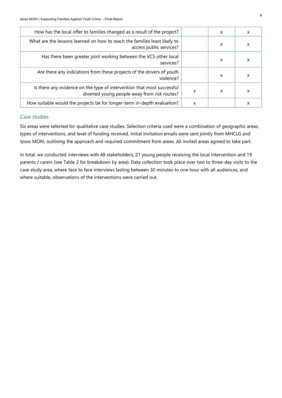| X | X |   | How has the local offer to families changed as a result of the project?                                                |
|---|---|---|------------------------------------------------------------------------------------------------------------------------|
| X | x |   | What are the lessons learned on how to reach the families least likely to<br>access public services?                   |
| X | x |   | Has there been greater joint working between the VCS other local<br>services?                                          |
| X | X |   | Are there any indications from these projects of the drivers of youth<br>violence?                                     |
| x | x | X | Is there any evidence on the type of intervention that most successful<br>diverted young people away from risk routes? |
| x |   | X | How suitable would the projects be for longer-term in-depth evaluation?                                                |

### Case studies

Six areas were selected for qualitative case studies. Selection criteria used were a combination of geographic areas, types of interventions, and level of funding received. Initial invitation emails were sent jointly from MHCLG and Ipsos MORI, outlining the approach and required commitment from areas. All invited areas agreed to take part.

In total, we conducted interviews with 48 stakeholders, 21 young people receiving the local intervention and 19 parents / carers (see [Table 2](#page-9-0) for breakdown by area). Data collection took place over two to three-day visits to the case study area, where face to face interviews lasting between 30 minutes to one hour with all audiences, and where suitable, observations of the interventions were carried out.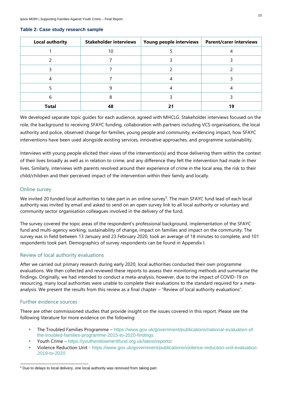| <b>Local authority</b> | <b>Stakeholder interviews</b> | Young people interviews | <b>Parent/carer interviews</b> |
|------------------------|-------------------------------|-------------------------|--------------------------------|
|                        | 10                            |                         |                                |
|                        |                               |                         |                                |
|                        |                               |                         |                                |
|                        |                               |                         |                                |
|                        |                               |                         |                                |
|                        |                               |                         |                                |
| <b>Total</b>           | 48                            |                         | 19                             |

#### <span id="page-9-0"></span>**Table 2: Case study research sample**

We developed separate topic guides for each audience, agreed with MHCLG. Stakeholder interviews focused on the role, the background to receiving SFAYC funding, collaboration with partners including VCS organisations, the local authority and police, observed change for families, young people and community, evidencing impact, how SFAYC interventions have been used alongside existing services, innovative approaches, and programme sustainability.

Interviews with young people elicited their views of the intervention(s) and those delivering them within the context of their lives broadly as well as in relation to crime, and any difference they felt the intervention had made in their lives. Similarly, interviews with parents revolved around their experience of crime in the local area, the risk to their child/children and their perceived impact of the intervention within their family and locally.

### Online survey

We invited 20 funded local authorities to take part in an online survey<sup>5</sup>. The main SFAYC fund lead of each local authority was invited by email and asked to send on an open survey link to all local authority or voluntary and community sector organisation colleagues involved in the delivery of the fund.

The survey covered the topic areas of the respondent's professional background, implementation of the SFAYC fund and multi-agency working, sustainability of change, impact on families and impact on the community. The survey was in field between 13 January and 23 February 2020, took an average of 18 minutes to complete, and 101 respondents took part. Demographics of survey respondents can be found in Appendix I.

### Review of local authority evaluations

After we carried out primary research during early 2020, local authorities conducted their own programme evaluations. We then collected and reviewed these reports to assess their monitoring methods and summarise the findings. Originally, we had intended to conduct a meta-analysis, however, due to the impact of COVID-19 on resourcing, many local authorities were unable to complete their evaluations to the standard required for a metaanalysis. We present the results from this review as a final chapter – "Review of local authority evaluations".

### Further evidence sources

There are other commissioned studies that provide insight on the issues covered in this report. Please see the following literature for more evidence on the following:

- The Troubled Families Programme [https://www.gov.uk/government/publications/national-evaluation-of](https://www.gov.uk/government/publications/national-evaluation-of-the-troubled-families-programme-2015-to-2020-findings)[the-troubled-families-programme-2015-to-2020-findings](https://www.gov.uk/government/publications/national-evaluation-of-the-troubled-families-programme-2015-to-2020-findings)
- Youth Crime <https://youthendowmentfund.org.uk/latest/reports/>
- Violence Reduction Unit [https://www.gov.uk/government/publications/violence-reduction-unit-evaluation-](https://www.gov.uk/government/publications/violence-reduction-unit-evaluation-2019-to-2020)[2019-to-2020](https://www.gov.uk/government/publications/violence-reduction-unit-evaluation-2019-to-2020)

<sup>&</sup>lt;sup>5</sup> Due to delays to local delivery, one local authority was removed from taking part.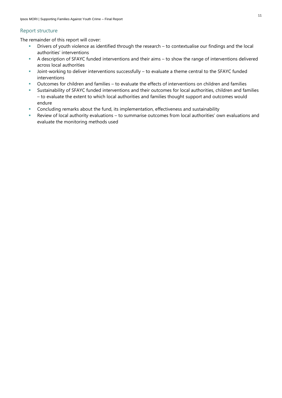### Report structure

The remainder of this report will cover:

- Drivers of youth violence as identified through the research to contextualise our findings and the local authorities' interventions
- A description of SFAYC funded interventions and their aims to show the range of interventions delivered across local authorities
- **■** Joint-working to deliver interventions successfully to evaluate a theme central to the SFAYC funded interventions
- Outcomes for children and families to evaluate the effects of interventions on children and families
- Sustainability of SFAYC funded interventions and their outcomes for local authorities, children and families – to evaluate the extent to which local authorities and families thought support and outcomes would endure
- **EXECONCLUM** Concluding remarks about the fund, its implementation, effectiveness and sustainability
- Review of local authority evaluations to summarise outcomes from local authorities' own evaluations and evaluate the monitoring methods used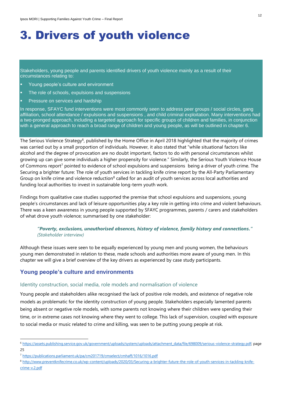# <span id="page-11-0"></span>3. Drivers of youth violence

Stakeholders, young people and parents identified drivers of youth violence mainly as a result of their circumstances relating to:

- Young people's culture and environment
- The role of schools, expulsions and suspensions
- Pressure on services and hardship

In response, SFAYC fund interventions were most commonly seen to address peer groups / social circles, gang affiliation, school attendance / expulsions and suspensions , and child criminal exploitation. Many interventions had a two-pronged approach, including a targeted approach for specific groups of children and families, in conjunction with a general approach to reach a broad range of children and young people, as will be outlined in chapter 6.

The Serious Violence Strategy $^6$ , published by the Home Office in April 2018 highlighted that the majority of crimes was carried out by a small proportion of individuals. However, it also stated that "while situational factors like alcohol and the degree of provocation are no doubt important, factors to do with personal circumstances whilst growing up can give some individuals a higher propensity for violence." Similarly, the Serious Youth Violence House of Commons report<sup>7</sup> pointed to evidence of school expulsions and suspensions being a driver of youth crime. The Securing a brighter future: The role of youth services in tackling knife crime report by the All-Party Parliamentary Group on knife crime and violence reduction<sup>8</sup> called for an audit of youth services across local authorities and funding local authorities to invest in sustainable long-term youth work.

Findings from qualitative case studies supported the premise that school expulsions and suspensions, young people's circumstances and lack of leisure opportunities play a key role in getting into crime and violent behaviours. There was a keen awareness in young people supported by SFAYC programmes, parents / carers and stakeholders of what drove youth violence; summarised by one stakeholder:

### *"Poverty, exclusions, unauthorised absences, history of violence, family history and connections." (Stakeholder interview)*

Although these issues were seen to be equally experienced by young men and young women, the behaviours young men demonstrated in relation to these, made schools and authorities more aware of young men. In this chapter we will give a brief overview of the key drivers as experienced by case study participants.

### <span id="page-11-1"></span>**Young people's culture and environments**

### Identity construction, social media, role models and normalisation of violence

Young people and stakeholders alike recognised the lack of positive role models, and existence of negative role models as problematic for the identity construction of young people. Stakeholders especially lamented parents being absent or negative role models, with some parents not knowing where their children were spending their time, or in extreme cases not knowing where they went to college. This lack of supervision, coupled with exposure to social media or music related to crime and killing, was seen to be putting young people at risk.

<sup>6</sup> [https://assets.publishing.service.gov.uk/government/uploads/system/uploads/attachment\\_data/file/698009/serious-violence-strategy.pdf;](https://assets.publishing.service.gov.uk/government/uploads/system/uploads/attachment_data/file/698009/serious-violence-strategy.pdf) page 25

<sup>7</sup> <https://publications.parliament.uk/pa/cm201719/cmselect/cmhaff/1016/1016.pdf>

<sup>8</sup> [http://www.preventknifecrime.co.uk/wp-content/uploads/2020/03/Securing-a-brighter-future-the-role-of-youth-services-in-tackling-knife](http://www.preventknifecrime.co.uk/wp-content/uploads/2020/03/Securing-a-brighter-future-the-role-of-youth-services-in-tackling-knife-crime-v.2.pdf)[crime-v.2.pdf](http://www.preventknifecrime.co.uk/wp-content/uploads/2020/03/Securing-a-brighter-future-the-role-of-youth-services-in-tackling-knife-crime-v.2.pdf)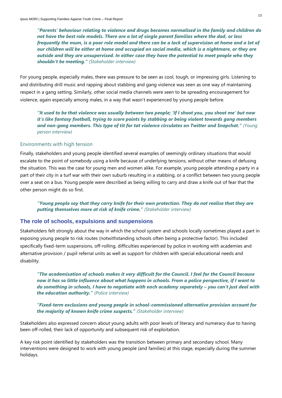*"Parents' behaviour relating to violence and drugs becomes normalised in the family and children do not have the best role models. There are a lot of single parent families where the dad, or less frequently the mum, is a poor role model and there can be a lack of supervision at home and a lot of our children will be either at home and occupied on social media, which is a nightmare, or they are outside and they are unsupervised. In either case they have the potential to meet people who they shouldn't be meeting." (Stakeholder interview)*

For young people, especially males, there was pressure to be seen as cool, tough, or impressing girls. Listening to and distributing drill music and rapping about stabbing and gang violence was seen as one way of maintaining respect in a gang setting. Similarly, other social media channels were seen to be spreading encouragement for violence, again especially among males, in a way that wasn't experienced by young people before.

*"It used to be that violence was usually between two people; 'If I shoot you, you shoot me' but now it's like fantasy football, trying to score points by stabbing or being violent towards gang members and non-gang members. This type of tit for tat violence circulates on Twitter and Snapchat." (Young person interview)*

### Environments with high tension

Finally, stakeholders and young people identified several examples of seemingly ordinary situations that would escalate to the point of somebody using a knife because of underlying tensions, without other means of defusing the situation. This was the case for young men and women alike. For example, young people attending a party in a part of their city in a turf war with their own suburb resulting in a stabbing, or a conflict between two young people over a seat on a bus. Young people were described as being willing to carry and draw a knife out of fear that the other person might do so first.

*"Young people say that they carry knife for their own protection. They do not realise that they are putting themselves more at risk of knife crime." (Stakeholder interview)*

### <span id="page-12-0"></span>**The role of schools, expulsions and suspensions**

Stakeholders felt strongly about the way in which the school system and schools locally sometimes played a part in exposing young people to risk routes (notwithstanding schools often being a protective factor). This included specifically fixed-term suspensions, off-rolling, difficulties experienced by police in working with academies and alternative provision / pupil referral units as well as support for children with special educational needs and disability.

*"The academisation of schools makes it very difficult for the Council. I feel for the Council because now it has so little influence about what happens in schools. From a police perspective, if I want to do something in schools, I have to negotiate with each academy separately – you can't just deal with the education authority." (Police interview)*

*"Fixed-term exclusions and young people in school-commissioned alternative provision account for the majority of known knife crime suspects." (Stakeholder interview)*

Stakeholders also expressed concern about young adults with poor levels of literacy and numeracy due to having been off-rolled, their lack of opportunity and subsequent risk of exploitation.

A key risk point identified by stakeholders was the transition between primary and secondary school. Many interventions were designed to work with young people (and families) at this stage, especially during the summer holidays.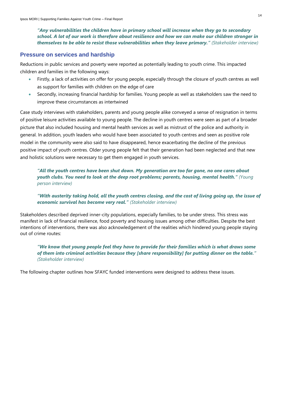*"Any vulnerabilities the children have in primary school will increase when they go to secondary school. A lot of our work is therefore about resilience and how we can make our children stronger in themselves to be able to resist those vulnerabilities when they leave primary." (Stakeholder interview)*

### <span id="page-13-0"></span>**Pressure on services and hardship**

Reductions in public services and poverty were reported as potentially leading to youth crime. This impacted children and families in the following ways:

- Firstly, a lack of activities on offer for young people, especially through the closure of youth centres as well as support for families with children on the edge of care
- Secondly, increasing financial hardship for families. Young people as well as stakeholders saw the need to improve these circumstances as intertwined

Case study interviews with stakeholders, parents and young people alike conveyed a sense of resignation in terms of positive leisure activities available to young people. The decline in youth centres were seen as part of a broader picture that also included housing and mental health services as well as mistrust of the police and authority in general. In addition, youth leaders who would have been associated to youth centres and seen as positive role model in the community were also said to have disappeared, hence exacerbating the decline of the previous positive impact of youth centres. Older young people felt that their generation had been neglected and that new and holistic solutions were necessary to get them engaged in youth services.

*"All the youth centres have been shut down. My generation are too far gone, no one cares about youth clubs. You need to look at the deep root problems; parents, housing, mental health." (Young person interview)*

*"With austerity taking hold, all the youth centres closing, and the cost of living going up, the issue of economic survival has become very real." (Stakeholder interview)*

Stakeholders described deprived inner-city populations, especially families, to be under stress. This stress was manifest in lack of financial resilience, food poverty and housing issues among other difficulties. Despite the best intentions of interventions, there was also acknowledgement of the realities which hindered young people staying out of crime routes:

*"We know that young people feel they have to provide for their families which is what draws some of them into criminal activities because they [share responsibility] for putting dinner on the table." (Stakeholder interview)*

The following chapter outlines how SFAYC funded interventions were designed to address these issues.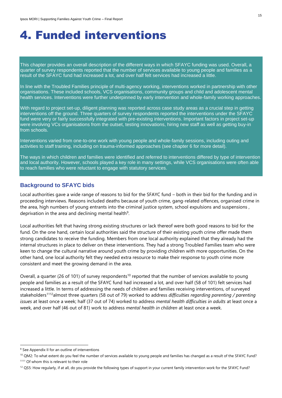### <span id="page-14-0"></span>4. Funded interventions

This chapter provides an overall description of the different ways in which SFAYC funding was used. Overall, a quarter of survey respondents reported that the number of services available to young people and families as a result of the SFAYC fund had increased a lot, and over half felt services had increased a little.

In line with the Troubled Families principle of multi-agency working, interventions worked in partnership with other organisations. These included schools, VCS organisations, community groups and child and adolescent mental health services. Interventions were further underpinned by early intervention and whole-family working approaches.

With regard to project set-up, diligent planning was reported across case study areas as a crucial step in getting interventions off the ground. Three quarters of survey respondents reported the interventions under the SFAYC fund were very or fairly successfully integrated with pre-existing interventions. Important factors in project set-up were involving VCs organisations from the outset, testing innovations, hiring new staff as well as getting buy-in from schools.

Interventions varied from one-to-one work with young people and whole-family sessions, including outing and activities to staff training, including on trauma-informed approaches (see chapter 6 for more detail).

The ways in which children and families were identified and referred to interventions differed by type of intervention and local authority. However, schools played a key role in many settings, while VCS organisations were often able to reach families who were reluctant to engage with statutory services.

### <span id="page-14-1"></span>**Background to SFAYC bids**

Local authorities gave a wide range of reasons to bid for the SFAYC fund – both in their bid for the funding and in proceeding interviews. Reasons included deaths because of youth crime, gang-related offences, organised crime in the area, high numbers of young entrants into the criminal justice system, school expulsions and suspensions , deprivation in the area and declining mental health<sup>9</sup>.

Local authorities felt that having strong existing structures or lack thereof were both good reasons to bid for the fund. On the one hand, certain local authorities said the structure of their existing youth crime offer made them strong candidates to receive the funding. Members from one local authority explained that they already had the internal structures in place to deliver on these interventions. They had a strong Troubled Families team who were keen to change the cultural narrative around youth crime by providing children with more opportunities. On the other hand, one local authority felt they needed extra resource to make their response to youth crime more consistent and meet the growing demand in the area.

Overall, a quarter (26 of 101) of survey respondents<sup>10</sup> reported that the number of services available to young people and families as a result of the SFAYC fund had increased a lot, and over half (58 of 101) felt services had increased a little. In terms of addressing the needs of children and families receiving interventions, of surveyed stakeholders<sup>1112</sup>almost three quarters (58 out of 79) worked to address *difficulties regarding parenting / parenting issues* at least once a week; half (37 out of 74) worked to address *mental health difficulties in adults* at least once a week, and over half (46 out of 81) work to address *mental health in children* at least once a week.

<sup>&</sup>lt;sup>9</sup> See Appendix II for an outline of interventions

<sup>&</sup>lt;sup>10</sup> QM2: To what extent do you feel the number of services available to young people and families has changed as a result of the SFAYC Fund? <sup>1111</sup> Of whom this is relevant to their role

 $12$  QS5: How regularly, if at all, do you provide the following types of support in your current family intervention work for the SFAYC Fund?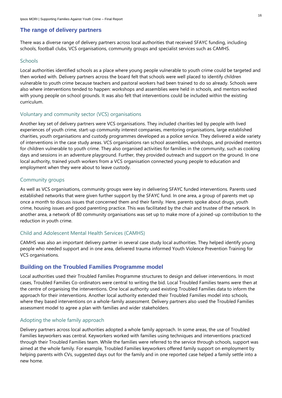### <span id="page-15-0"></span>**The range of delivery partners**

There was a diverse range of delivery partners across local authorities that received SFAYC funding, including schools, football clubs, VCS organisations, community groups and specialist services such as CAMHS.

### **Schools**

Local authorities identified schools as a place where young people vulnerable to youth crime could be targeted and then worked with. Delivery partners across the board felt that schools were well placed to identify children vulnerable to youth crime because teachers and pastoral workers had been trained to do so already. Schools were also where interventions tended to happen: workshops and assemblies were held in schools, and mentors worked with young people on school grounds. It was also felt that interventions could be included within the existing curriculum.

### Voluntary and community sector (VCS) organisations

Another key set of delivery partners were VCS organisations. They included charities led by people with lived experiences of youth crime, start-up community interest companies, mentoring organisations, large established charities, youth organisations and custody programmes developed as a police service. They delivered a wide variety of interventions in the case study areas. VCS organisations ran school assemblies, workshops, and provided mentors for children vulnerable to youth crime. They also organised activities for families in the community, such as cooking days and sessions in an adventure playground. Further, they provided outreach and support on the ground. In one local authority, trained youth workers from a VCS organisation connected young people to education and employment when they were about to leave custody.

### Community groups

As well as VCS organisations, community groups were key in delivering SFAYC funded interventions. Parents used established networks that were given further support by the SFAYC fund. In one area, a group of parents met up once a month to discuss issues that concerned them and their family. Here, parents spoke about drugs, youth crime, housing issues and good parenting practice. This was facilitated by the chair and trustee of the network. In another area, a network of 80 community organisations was set up to make more of a joined-up contribution to the reduction in youth crime.

### Child and Adolescent Mental Health Services (CAMHS)

CAMHS was also an important delivery partner in several case study local authorities. They helped identify young people who needed support and in one area, delivered trauma informed Youth Violence Prevention Training for VCS organisations.

### <span id="page-15-1"></span>**Building on the Troubled Families Programme model**

Local authorities used their Troubled Families Programme structures to design and deliver interventions. In most cases, Troubled Families Co-ordinators were central to writing the bid. Local Troubled Families teams were then at the centre of organising the interventions. One local authority used existing Troubled Families data to inform the approach for their interventions. Another local authority extended their Troubled Families model into schools, where they based interventions on a whole-family assessment. Delivery partners also used the Troubled Families assessment model to agree a plan with families and wider stakeholders.

### Adopting the whole family approach

Delivery partners across local authorities adopted a whole family approach. In some areas, the use of Troubled Families keyworkers was central. Keyworkers worked with families using techniques and interventions practiced through their Troubled Families team. While the families were referred to the service through schools, support was aimed at the whole family. For example, Troubled Families keyworkers offered family support on employment by helping parents with CVs, suggested days out for the family and in one reported case helped a family settle into a new home.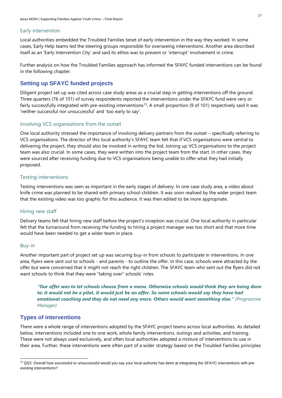### Early intervention

Local authorities embedded the Troubled Families tenet of early intervention in the way they worked. In some cases, Early Help teams led the steering groups responsible for overseeing interventions. Another area described itself as an 'Early Intervention City' and said its ethos was to prevent or 'interrupt' involvement in crime.

Further analysis on how the Troubled Families approach has informed the SFAYC funded interventions can be found in the following chapter.

### <span id="page-16-0"></span>**Setting up SFAYC funded projects**

Diligent project set up was cited across case study areas as a crucial step in getting interventions off the ground. Three quarters (76 of 101) of survey respondents reported the interventions under the SFAYC fund were very or fairly successfully integrated with pre-existing interventions<sup>13</sup>. A small proportion (9 of 101) respectively said it was 'neither successful nor unsuccessful' and 'too early to say'.

### Involving VCS organisations from the outset

One local authority stressed the importance of involving delivery partners from the outset – specifically referring to VCS organisations. The director of this local authority's SFAYC team felt that if VCS organisations were central to delivering the project, they should also be involved in writing the bid. Joining up VCS organisations to the project team was also crucial. In some cases, they were written into the project team from the start. In other cases, they were sourced after receiving funding due to VCS organisations being unable to offer what they had initially proposed.

### Testing interventions

Testing interventions was seen as important in the early stages of delivery. In one case study area, a video about knife crime was planned to be shared with primary school children. It was soon realised by the wider project team that the existing video was too graphic for this audience. It was then edited to be more appropriate.

### Hiring new staff

Delivery teams felt that hiring new staff before the project's inception was crucial. One local authority in particular felt that the turnaround from receiving the funding to hiring a project manager was too short and that more time would have been needed to get a wider team in place.

### Buy-in

Another important part of project set up was securing buy-in from schools to participate in interventions. In one area, flyers were sent out to schools - and parents - to outline the offer. In this case, schools were attracted by the offer but were concerned that it might not reach the right children. The SFAYC team who sent out the flyers did not want schools to think that they were "taking over" schools' roles.

*"Our offer was to let schools choose from a menu. Otherwise schools would think they are being done to: it would not be a pilot, it would just be an offer. So some schools would say they have had emotional coaching and they do not need any more. Others would want something else." (Programme Manager)*

### <span id="page-16-1"></span>**Types of interventions**

There were a whole range of interventions adopted by the SFAYC project teams across local authorities. As detailed below, interventions included one to one work, whole family interventions, outings and activities, and training. These were not always used exclusively, and often local authorities adopted a mixture of interventions to use in their area. Further, these interventions were often part of a wider strategy based on the Troubled Families principles

<sup>13</sup> QS2: Overall how successful or unsuccessful would you say your local authority has been at integrating the SFAYC interventions with preexisting interventions?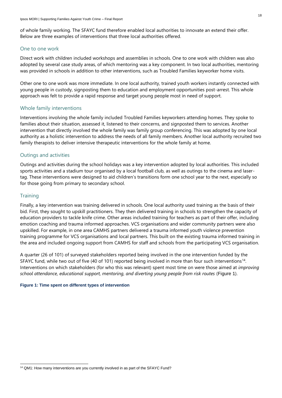of whole family working. The SFAYC fund therefore enabled local authorities to innovate an extend their offer. Below are three examples of interventions that three local authorities offered.

### One to one work

Direct work with children included workshops and assemblies in schools. One to one work with children was also adopted by several case study areas, of which mentoring was a key component. In two local authorities, mentoring was provided in schools in addition to other interventions, such as Troubled Families keyworker home visits.

Other one to one work was more immediate. In one local authority, trained youth workers instantly connected with young people in custody, signposting them to education and employment opportunities post-arrest. This whole approach was felt to provide a rapid response and target young people most in need of support.

### Whole family interventions

Interventions involving the whole family included Troubled Families keyworkers attending homes. They spoke to families about their situation, assessed it, listened to their concerns, and signposted them to services. Another intervention that directly involved the whole family was family group conferencing. This was adopted by one local authority as a holistic intervention to address the needs of all family members. Another local authority recruited two family therapists to deliver intensive therapeutic interventions for the whole family at home.

### Outings and activities

Outings and activities during the school holidays was a key intervention adopted by local authorities. This included sports activities and a stadium tour organised by a local football club, as well as outings to the cinema and lasertag. These interventions were designed to aid children's transitions form one school year to the next, especially so for those going from primary to secondary school.

### **Training**

Finally, a key intervention was training delivered in schools. One local authority used training as the basis of their bid. First, they sought to upskill practitioners. They then delivered training in schools to strengthen the capacity of education providers to tackle knife crime. Other areas included training for teachers as part of their offer, including emotion coaching and trauma informed approaches. VCS organisations and wider community partners were also upskilled. For example, in one area CAMHS partners delivered a trauma informed youth violence prevention training programme for VCS organisations and local partners. This built on the existing trauma informed training in the area and included ongoing support from CAMHS for staff and schools from the participating VCS organisation.

A quarter (26 of 101) of surveyed stakeholders reported being involved in the one intervention funded by the SFAYC fund, while two out of five (40 of 101) reported being involved in more than four such interventions<sup>14</sup>. Interventions on which stakeholders (for who this was relevant) spent most time on were those aimed at *improving school attendance, educational support, mentoring, and diverting young people from risk routes* ([Figure 1](#page-17-0)).

### <span id="page-17-0"></span>**Figure 1: Time spent on different types of intervention**

<sup>&</sup>lt;sup>14</sup> QM1: How many interventions are you currently involved in as part of the SFAYC Fund?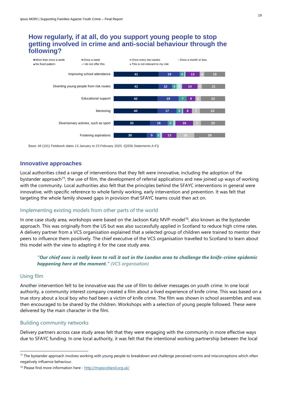### **getting involved in crime and anti-social behaviour through the following?**



Base: All (101) Fieldwork dates 13 January to 23 February 2020. (QS5b Statements A-F))

### <span id="page-18-0"></span>**Innovative approaches**

Local authorities cited a range of interventions that they felt were innovative, including the adoption of the bystander approach<sup>15</sup>, the use of film, the development of referral applications and new joined up ways of working with the community. Local authorities also felt that the principles behind the SFAYC interventions in general were innovative, with specific reference to whole family working, early intervention and prevention. It was felt that targeting the whole family showed gaps in provision that SFAYC teams could then act on.

### Implementing existing models from other parts of the world

In one case study area, workshops were based on the Jackson Katz MVP-model<sup>16</sup>, also known as the bystander approach. This was originally from the US but was also successfully applied in Scotland to reduce high crime rates. A delivery partner from a VCS organisation explained that a selected group of children were trained to mentor their peers to influence them positively. The chief executive of the VCS organisation travelled to Scotland to learn about this model with the view to adapting it for the case study area.

### *"Our chief exec is really keen to roll it out in the London area to challenge the knife-crime epidemic happening here at the moment." (VCS organisation)*

### Using film

Another intervention felt to be innovative was the use of film to deliver messages on youth crime. In one local authority, a community interest company created a film about a lived experience of knife crime. This was based on a true story about a local boy who had been a victim of knife crime. The film was shown in school assemblies and was then encouraged to be shared by the children. Workshops with a selection of young people followed. These were delivered by the main character in the film.

### Building community networks

Delivery partners across case study areas felt that they were engaging with the community in more effective ways due to SFAYC funding. In one local authority, it was felt that the intentional working partnership between the local

<sup>&</sup>lt;sup>15</sup> The bystander approach involves working with young people to breakdown and challenge perceived norms and misconceptions which often negatively influence behaviour.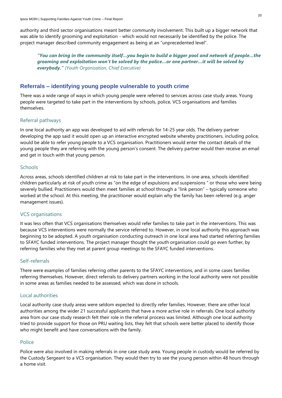authority and third sector organisations meant better community involvement. This built up a bigger network that was able to identify grooming and exploitation - which would not necessarily be identified by the police. The project manager described community engagement as being at an "unprecedented level".

*"You can bring in the community itself…you begin to build a bigger pool and network of people…the grooming and exploitation won't be solved by the police…or one partner…it will be solved by everybody." (Youth Organisation, Chief Executive)*

### <span id="page-19-0"></span>**Referrals – identifying young people vulnerable to youth crime**

There was a wide range of ways in which young people were referred to services across case study areas. Young people were targeted to take part in the interventions by schools, police, VCS organisations and families themselves.

### Referral pathways

In one local authority an app was developed to aid with referrals for 14-25 year olds. The delivery partner developing the app said it would open up an interactive encrypted website whereby practitioners, including police, would be able to refer young people to a VCS organisation. Practitioners would enter the contact details of the young people they are referring with the young person's consent. The delivery partner would then receive an email and get in touch with that young person.

### **Schools**

Across areas, schools identified children at risk to take part in the interventions. In one area, schools identified children particularly at risk of youth crime as "on the edge of expulsions and suspensions " or those who were being severely bullied. Practitioners would then meet families at school through a "link person" – typically someone who worked at the school. At this meeting, the practitioner would explain why the family has been referred (e.g. anger management issues).

### VCS organisations

It was less often that VCS organisations themselves would refer families to take part in the interventions. This was because VCS interventions were normally the service referred to. However, in one local authority this approach was beginning to be adopted. A youth organisation conducting outreach in one local area had started referring families to SFAYC funded interventions. The project manager thought the youth organisation could go even further, by referring families who they met at parent group meetings to the SFAYC funded interventions.

### Self-referrals

There were examples of families referring other parents to the SFAYC interventions, and in some cases families referring themselves. However, direct referrals to delivery partners working in the local authority were not possible in some areas as families needed to be assessed, which was done in schools.

### Local authorities

Local authority case study areas were seldom expected to directly refer families. However, there are other local authorities among the wider 21 successful applicants that have a more active role in referrals. One local authority area from our case study research felt their role in the referral process was limited. Although one local authority tried to provide support for those on PRU waiting lists, they felt that schools were better placed to identify those who might benefit and have conversations with the family.

### Police

Police were also involved in making referrals in one case study area. Young people in custody would be referred by the Custody Sergeant to a VCS organisation. They would then try to see the young person within 48 hours through a home visit.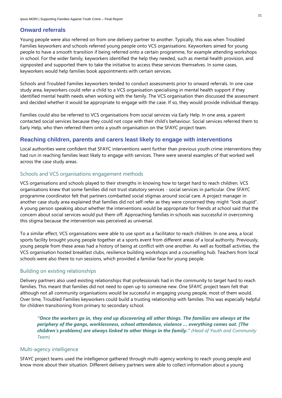### <span id="page-20-0"></span>**Onward referrals**

Young people were also referred on from one delivery partner to another. Typically, this was when Troubled Families keyworkers and schools referred young people onto VCS organisations. Keyworkers aimed for young people to have a smooth transition if being referred onto a certain programme, for example attending workshops in school. For the wider family, keyworkers identified the help they needed, such as mental health provision, and signposted and supported them to take the initiative to access these services themselves. In some cases, keyworkers would help families book appointments with certain services.

Schools and Troubled Families keyworkers tended to conduct assessments prior to onward referrals. In one case study area, keyworkers could refer a child to a VCS organisation specialising in mental health support if they identified mental health needs when working with the family. The VCS organisation then discussed the assessment and decided whether it would be appropriate to engage with the case. If so, they would provide individual therapy.

Families could also be referred to VCS organisations from social services via Early Help. In one area, a parent contacted social services because they could not cope with their child's behaviour. Social services referred them to Early Help, who then referred them onto a youth organisation on the SFAYC project team.

### <span id="page-20-1"></span>**Reaching children, parents and carers least likely to engage with interventions**

Local authorities were confident that SFAYC interventions went further than previous youth crime interventions they had run in reaching families least likely to engage with services. There were several examples of that worked well across the case study areas.

### Schools and VCS organisations engagement methods

VCS organisations and schools played to their strengths in knowing how to target hard to reach children. VCS organisations knew that some families did not trust statutory services - social services in particular. One SFAYC programme coordinator felt that partners combatted social stigmas around social care. A project manager in another case study area explained that families did not self-refer as they were concerned they might "look stupid". A young person speaking about whether the interventions would be appropriate for friends at school said that the concern about social services would put them off. Approaching families in schools was successful in overcoming this stigma because the intervention was perceived as universal.

To a similar effect, VCS organisations were able to use sport as a facilitator to reach children. In one area, a local sports facility brought young people together at a sports event from different areas of a local authority. Previously, young people from these areas had a history of being at conflict with one another. As well as football activities, the VCS organisation hosted breakfast clubs, resilience building workshops and a counselling hub. Teachers from local schools were also there to run sessions, which provided a familiar face for young people.

### Building on existing relationships

Delivery partners also used existing relationships that professionals had in the community to target hard to reach families. This meant that families did not need to open up to someone new. One SFAYC project team felt that although not all community organisations would be successful in engaging young people, most of them would. Over time, Troubled Families keyworkers could build a trusting relationship with families. This was especially helpful for children transitioning from primary to secondary school.

*"Once the workers go in, they end up discovering all other things. The families are always at the periphery of the gangs, worklessness, school attendance, violence … everything comes out. [The children's problems] are always linked to other things in the family." (Head of Youth and Community Team)*

### Multi-agency intelligence

SFAYC project teams used the intelligence gathered through multi-agency working to reach young people and know more about their situation. Different delivery partners were able to collect information about a young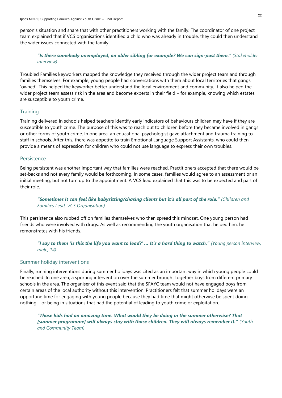person's situation and share that with other practitioners working with the family. The coordinator of one project team explained that if VCS organisations identified a child who was already in trouble, they could then understand the wider issues connected with the family.

### *"Is there somebody unemployed, an older sibling for example? We can sign-post them." (Stakeholder interview)*

Troubled Families keyworkers mapped the knowledge they received through the wider project team and through families themselves. For example, young people had conversations with them about local territories that gangs 'owned'. This helped the keyworker better understand the local environment and community. It also helped the wider project team assess risk in the area and become experts in their field – for example, knowing which estates are susceptible to youth crime.

### **Training**

Training delivered in schools helped teachers identify early indicators of behaviours children may have if they are susceptible to youth crime. The purpose of this was to reach out to children before they became involved in gangs or other forms of youth crime. In one area, an educational psychologist gave attachment and trauma training to staff in schools. After this, there was appetite to train Emotional Language Support Assistants, who could then provide a means of expression for children who could not use language to express their own troubles.

### Persistence

Being persistent was another important way that families were reached. Practitioners accepted that there would be set-backs and not every family would be forthcoming. In some cases, families would agree to an assessment or an initial meeting, but not turn up to the appointment. A VCS lead explained that this was to be expected and part of their role.

### *"Sometimes it can feel like babysitting/chasing clients but it's all part of the role." (Children and Families Lead, VCS Organisation)*

This persistence also rubbed off on families themselves who then spread this mindset. One young person had friends who were involved with drugs. As well as recommending the youth organisation that helped him, he remonstrates with his friends.

*"I say to them 'is this the life you want to lead?' … It's a hard thing to watch." (Young person interview, male, 14)*

### Summer holiday interventions

Finally, running interventions during summer holidays was cited as an important way in which young people could be reached. In one area, a sporting intervention over the summer brought together boys from different primary schools in the area. The organiser of this event said that the SFAYC team would not have engaged boys from certain areas of the local authority without this intervention. Practitioners felt that summer holidays were an opportune time for engaging with young people because they had time that might otherwise be spent doing nothing – or being in situations that had the potential of leading to youth crime or exploitation.

*"Those kids had an amazing time. What would they be doing in the summer otherwise? That [summer programme] will always stay with those children. They will always remember it." (Youth and Community Team)*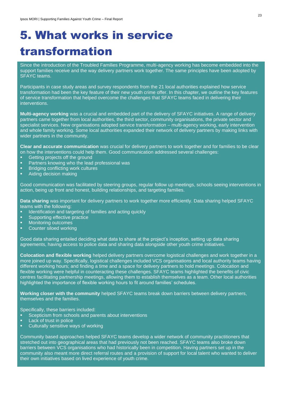## <span id="page-22-0"></span>5. What works in service transformation

Since the introduction of the Troubled Families Programme, multi-agency working has become embedded into the support families receive and the way delivery partners work together. The same principles have been adopted by SFAYC teams.

Participants in case study areas and survey respondents from the 21 local authorities explained how service transformation had been the key feature of their new youth crime offer. In this chapter, we outline the key features of service transformation that helped overcome the challenges that SFAYC teams faced in delivering their interventions.

**Multi-agency working** was a crucial and embedded part of the delivery of SFAYC initiatives. A range of delivery partners came together from local authorities, the third sector, community organisations, the private sector and specialist services. New organisations adopted service transformation – multi-agency working, early intervention and whole family working. Some local authorities expanded their network of delivery partners by making links with wider partners in the community.

**Clear and accurate communication** was crucial for delivery partners to work together and for families to be clear on how the interventions could help them. Good communication addressed several challenges:

- Getting projects off the ground
- Partners knowing who the lead professional was
- Bridging conflicting work cultures
- Aiding decision making

Good communication was facilitated by steering groups, regular follow up meetings, schools seeing interventions in action, being up front and honest, building relationships, and targeting families.

**Data sharing** was important for delivery partners to work together more efficiently. Data sharing helped SFAYC teams with the following:

- Identification and targeting of families and acting quickly
- Supporting effective practice
- Monitoring outcomes
- Counter siloed working

Good data sharing entailed deciding what data to share at the project's inception, setting up data sharing agreements, having access to police data and sharing data alongside other youth crime initiatives.

**Colocation and flexible working** helped delivery partners overcome logistical challenges and work together in a more joined up way. Specifically, logistical challenges included VCS organisations and local authority teams having different working hours; and finding a time and a space for delivery partners to hold meetings. Colocation and flexible working were helpful in counteracting these challenges. SFAYC teams highlighted the benefits of civic centres facilitating partnership meetings, allowing them to establish themselves as a team. Other local authorities highlighted the importance of flexible working hours to fit around families' schedules.

**Working closer with the community** helped SFAYC teams break down barriers between delivery partners, themselves and the families.

Specifically, these barriers included:

- Scepticism from schools and parents about interventions
- Lack of trust in police
- Culturally sensitive ways of working

Community based approaches helped SFAYC teams develop a wider network of community practitioners that stretched out into geographical areas that had previously not been reached. SFAYC teams also broke down barriers between VCS organisations who had historically been in competition. Having partners set up in the community also meant more direct referral routes and a provision of support for local talent who wanted to deliver their own initiatives based on lived experience of youth crime.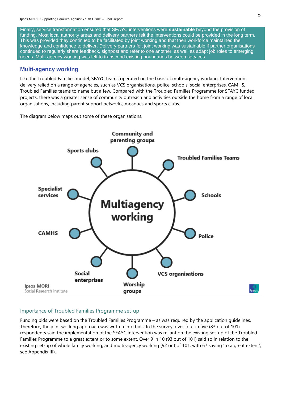Finally, service transformation ensured that SFAYC interventions were **sustainable** beyond the provision of funding. Most local authority areas and delivery partners felt the interventions could be provided in the long term. This was provided they continued to be facilitated by joint working and that their workforce maintained the knowledge and confidence to deliver. Delivery partners felt joint working was sustainable if partner organisations continued to regularly share feedback, signpost and refer to one another, as well as adapt job roles to emerging needs. Multi-agency working was felt to transcend existing boundaries between services.

### <span id="page-23-0"></span>**Multi-agency working**

Like the Troubled Families model, SFAYC teams operated on the basis of multi-agency working. Intervention delivery relied on a range of agencies, such as VCS organisations, police, schools, social enterprises, CAMHS, Troubled Families teams to name but a few. Compared with the Troubled Families Programme for SFAYC funded projects, there was a greater sense of community outreach and activities outside the home from a range of local organisations, including parent support networks, mosques and sports clubs.

The diagram below maps out some of these organisations.



### Importance of Troubled Families Programme set-up

Funding bids were based on the Troubled Families Programme – as was required by the application guidelines. Therefore, the joint working approach was written into bids. In the survey, over four in five (83 out of 101) respondents said the implementation of the SFAYC intervention was reliant on the existing set-up of the Troubled Families Programme to a great extent or to some extent. Over 9 in 10 (93 out of 101) said so in relation to the existing set-up of whole family working, and multi-agency working (92 out of 101, with 67 saying 'to a great extent'; see Appendix III).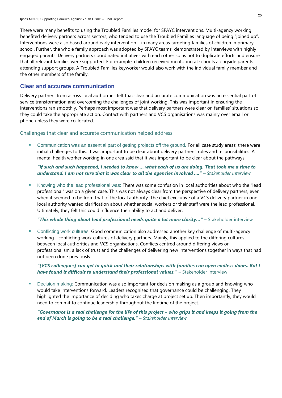There were many benefits to using the Troubled Families model for SFAYC interventions. Multi-agency working benefited delivery partners across sectors, who tended to use the Troubled Families language of being "joined up". Interventions were also based around early intervention – in many areas targeting families of children in primary school. Further, the whole family approach was adopted by SFAYC teams, demonstrated by interviews with highly engaged parents. Delivery partners coordinated initiatives with each other so as not to duplicate efforts and ensure that all relevant families were supported. For example, children received mentoring at schools alongside parents attending support groups. A Troubled Families keyworker would also work with the individual family member and the other members of the family.

### <span id="page-24-0"></span>**Clear and accurate communication**

Delivery partners from across local authorities felt that clear and accurate communication was an essential part of service transformation and overcoming the challenges of joint working. This was important in ensuring the interventions ran smoothly. Perhaps most important was that delivery partners were clear on families' situations so they could take the appropriate action. Contact with partners and VCS organisations was mainly over email or phone unless they were co-located.

### Challenges that clear and accurate communication helped address

Communication was an essential part of getting projects off the ground. For all case study areas, there were initial challenges to this. It was important to be clear about delivery partners' roles and responsibilities. A mental health worker working in one area said that it was important to be clear about the pathways.

*"If such and such happened, I needed to know … what each of us are doing. That took me a time to understand. I am not sure that it was clear to all the agencies involved ...." – Stakeholder interview*

■ Knowing who the lead professional was: There was some confusion in local authorities about who the "lead professional" was on a given case. This was not always clear from the perspective of delivery partners, even when it seemed to be from that of the local authority. The chief executive of a VCS delivery partner in one local authority wanted clarification about whether social workers or their staff were the lead professional. Ultimately, they felt this could influence their ability to act and deliver.

"This whole thing about lead professional needs quite a lot more clarity..." - Stakeholder interview

■ Conflicting work cultures: Good communication also addressed another key challenge of multi-agency working - conflicting work cultures of delivery partners. Mainly, this applied to the differing cultures between local authorities and VCS organisations. Conflicts centred around differing views on professionalism, a lack of trust and the challenges of delivering new interventions together in ways that had not been done previously.

*"[VCS colleagues] can get in quick and their relationships with families can open endless doors. But I have found it difficult to understand their professional values." – Stakeholder interview* 

Decision making: Communication was also important for decision making as a group and knowing who would take interventions forward. Leaders recognised that governance could be challenging. They highlighted the importance of deciding who takes charge at project set up. Then importantly, they would need to commit to continue leadership throughout the lifetime of the project.

*"Governance is a real challenge for the life of this project – who grips it and keeps it going from the end of March is going to be a real challenge." – Stakeholder interview*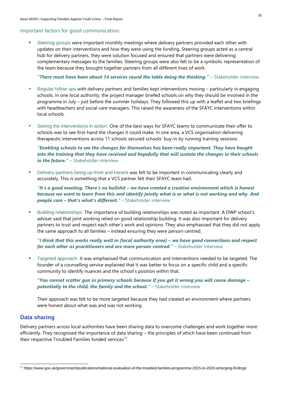### Important factors for good communication:

Steering groups were important monthly meetings where delivery partners provided each other with updates on their interventions and how they were using the funding. Steering groups acted as a central hub for delivery partners, they were solution focused and ensured that partners were delivering complementary messages to the families. Steering groups were also felt to be a symbolic representation of the team because they brought together partners from all different lines of work.

**"There must have been about 14 services round the table doing the thinking." – Stakeholder interview** 

- Regular follow ups with delivery partners and families kept interventions moving particularly in engaging schools. In one local authority, the project manager briefed schools on why they should be involved in the programme in July – just before the summer holidays. They followed this up with a leaflet and two briefings with headteachers and social care managers. This raised the awareness of the SFAYC interventions within local schools.
- Seeing the interventions in action: One of the best ways for SFAYC teams to communicate their offer to schools was to see first-hand the changes it could make. In one area, a VCS organisation delivering therapeutic interventions across 11 schools secured schools' buy-in by running training sessions.

### *"Enabling schools to see the changes for themselves has been really important. They have bought into the training that they have received and hopefully that will sustain the changes in their schools in the future." – Stakeholder interview*

Delivery partners being up-front and honest was felt to be important in communicating clearly and accurately. This is something that a VCS partner felt their SFAYC team had.

*"It's a good meeting. There's no bullshit – we have created a creative environment which is honest because we want to learn from this and identify jointly what is or what is not working and why. And people care – that's what's different." – Stakeholder interview* 

Building relationships: The importance of building relationships was noted as important. A DWP school's adviser said that joint working relied on good relationship building. It was also important for delivery partners to trust and respect each other's work and opinions. They also emphasised that they did not apply the same approach to all families – instead ensuring they were person-centred.

*"I think that this works really well in [local authority area] – we have good connections and respect for each other as practitioners and are more person-centred." – Stakeholder interview* 

**EXT** Targeted approach: It was emphasised that communication and interventions needed to be targeted. The founder of a counselling service explained that it was better to focus on a specific child and a specific community to identify nuances and the school's position within that.

*"You cannot scatter gun in primary schools because if you get it wrong you will cause damage –* **potentially to the child, the family and the school." – Stakeholder interview** 

Their approach was felt to be more targeted because they had created an environment where partners were honest about what was and was not working.

### <span id="page-25-0"></span>**Data sharing**

Delivery partners across local authorities have been sharing data to overcome challenges and work together more efficiently. They recognised the importance of data sharing – the principles of which have been continued from their respective Troubled Families funded services<sup>17</sup>.

<sup>17</sup> https://www.gov.uk/government/publications/national-evaluation-of-the-troubled-families-programme-2015-to-2020-emerging-findings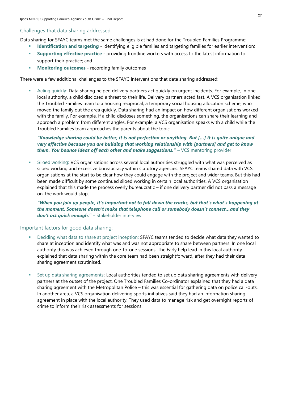### Challenges that data sharing addressed

Data sharing for SFAYC teams met the same challenges is at had done for the Troubled Families Programme:

- **Identification and targeting** identifying eligible families and targeting families for earlier intervention;
- **Supporting effective practice** providing frontline workers with access to the latest information to support their practice; and
- **Monitoring outcomes** recording family outcomes

There were a few additional challenges to the SFAYC interventions that data sharing addressed:

Acting quickly: Data sharing helped delivery partners act quickly on urgent incidents. For example, in one local authority, a child disclosed a threat to their life. Delivery partners acted fast. A VCS organisation linked the Troubled Families team to a housing reciprocal, a temporary social housing allocation scheme, who moved the family out the area quickly. Data sharing had an impact on how different organisations worked with the family. For example, if a child discloses something, the organisations can share their learning and approach a problem from different angles. For example, a VCS organisation speaks with a child while the Troubled Families team approaches the parents about the topic.

*"Knowledge sharing could be better, it is not perfection or anything. But […] it is quite unique and very effective because you are building that working relationship with [partners] and get to know them. You bounce ideas off each other and make suggestions." - VCS mentoring provider* 

Siloed working: VCS organisations across several local authorities struggled with what was perceived as siloed working and excessive bureaucracy within statutory agencies. SFAYC teams shared data with VCS organisations at the start to be clear how they could engage with the project and wider teams. But this had been made difficult by some continued siloed working in certain local authorities. A VCS organisation explained that this made the process overly bureaucratic – if one delivery partner did not pass a message on, the work would stop.

*"When you join up people, it's important not to fall down the cracks, but that's what's happening at the moment. Someone doesn't make that telephone call or somebody doesn't connect…and they don't act quick enough." –* Stakeholder interview

### Important factors for good data sharing:

- Deciding what data to share at project inception: SFAYC teams tended to decide what data they wanted to share at inception and identify what was and was not appropriate to share between partners. In one local authority this was achieved through one-to-one sessions. The Early help lead in this local authority explained that data sharing within the core team had been straightforward, after they had their data sharing agreement scrutinised.
- Set up data sharing agreements: Local authorities tended to set up data sharing agreements with delivery partners at the outset of the project. One Troubled Families Co-ordinator explained that they had a data sharing agreement with the Metropolitan Police – this was essential for gathering data on police call-outs. In another area, a VCS organisation delivering sports initiatives said they had an information sharing agreement in place with the local authority. They used data to manage risk and get overnight reports of crime to inform their risk assessments for sessions.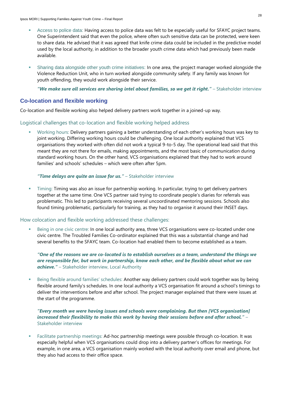- Access to police data: Having access to police data was felt to be especially useful for SFAYC project teams. One Superintendent said that even the police, where often such sensitive data can be protected, were keen to share data. He advised that it was agreed that knife crime data could be included in the predictive model used by the local authority, in addition to the broader youth crime data which had previously been made available.
- Sharing data alongside other youth crime initiatives: In one area, the project manager worked alongside the Violence Reduction Unit, who in turn worked alongside community safety. If any family was known for youth offending, they would work alongside their service.

"We make sure all services are sharing intel about families, so we get it right." - Stakeholder interview

### <span id="page-27-0"></span>**Co-location and flexible working**

Co-location and flexible working also helped delivery partners work together in a joined-up way.

### Logistical challenges that co-location and flexible working helped address

Working hours: Delivery partners gaining a better understanding of each other's working hours was key to joint working. Differing working hours could be challenging. One local authority explained that VCS organisations they worked with often did not work a typical 9-to-5 day. The operational lead said that this meant they are not there for emails, making appointments, and the most basic of communication during standard working hours. On the other hand, VCS organisations explained that they had to work around families' and schools' schedules – which were often after 5pm.

### **"Time delays are quite an issue for us."** – Stakeholder interview

Timing: Timing was also an issue for partnership working. In particular, trying to get delivery partners together at the same time. One VCS partner said trying to coordinate people's diaries for referrals was problematic. This led to participants receiving several uncoordinated mentoring sessions. Schools also found timing problematic, particularly for training, as they had to organise it around their INSET days.

### How colocation and flexible working addressed these challenges:

Being in one civic centre: In one local authority area, three VCS organisations were co-located under one civic centre. The Troubled Families Co-ordinator explained that this was a substantial change and had several benefits to the SFAYC team. Co-location had enabled them to become established as a team.

### *"One of the reasons we are co-located is to establish ourselves as a team, understand the things we are responsible for, but work in partnership, know each other, and be flexible about what we can achieve." –* Stakeholder interview, Local Authority

Being flexible around families' schedules: Another way delivery partners could work together was by being flexible around family's schedules. In one local authority a VCS organisation fit around a school's timings to deliver the interventions before and after school. The project manager explained that there were issues at the start of the programme.

### *"Every month we were having issues and schools were complaining. But then [VCS organisation] increased their flexibility to make this work by having their sessions before and after school." –* Stakeholder interview

▪ Facilitate partnership meetings: Ad-hoc partnership meetings were possible through co-location. It was especially helpful when VCS organisations could drop into a delivery partner's offices for meetings. For example, in one area, a VCS organisation mainly worked with the local authority over email and phone, but they also had access to their office space.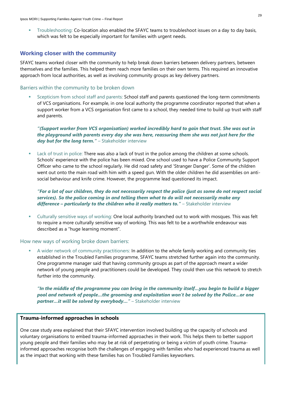Troubleshooting: Co-location also enabled the SFAYC teams to troubleshoot issues on a day to day basis, which was felt to be especially important for families with urgent needs.

### <span id="page-28-0"></span>**Working closer with the community**

SFAYC teams worked closer with the community to help break down barriers between delivery partners, between themselves and the families. This helped them reach more families on their own terms. This required an innovative approach from local authorities, as well as involving community groups as key delivery partners.

### Barriers within the community to be broken down

Scepticism from school staff and parents: School staff and parents questioned the long-term commitments of VCS organisations. For example, in one local authority the programme coordinator reported that when a support worker from a VCS organisation first came to a school, they needed time to build up trust with staff and parents.

*"(Support worker from VCS organisation) worked incredibly hard to gain that trust. She was out in the playground with parents every day she was here, reassuring them she was not just here for the day but for the long term." - Stakeholder interview* 

Lack of trust in police: There was also a lack of trust in the police among the children at some schools. Schools' experience with the police has been mixed. One school used to have a Police Community Support Officer who came to the school regularly. He did road safety and 'Stranger Danger'. Some of the children went out onto the main road with him with a speed gun. With the older children he did assemblies on antisocial behaviour and knife crime. However, the programme lead questioned its impact.

*"For a lot of our children, they do not necessarily respect the police (just as some do not respect social services). So the police coming in and telling them what to do will not necessarily make any difference – particularly to the children who it really matters to." – Stakeholder interview* 

Culturally sensitive ways of working: One local authority branched out to work with mosques. This was felt to require a more culturally sensitive way of working. This was felt to be a worthwhile endeavour was described as a "huge learning moment".

### How new ways of working broke down barriers:

A wider network of community practitioners: In addition to the whole family working and community ties established in the Troubled Families programme, SFAYC teams stretched further again into the community. One programme manager said that having community groups as part of the approach meant a wider network of young people and practitioners could be developed. They could then use this network to stretch further into the community.

*"In the middle of the programme you can bring in the community itself…you begin to build a bigger pool and network of people…the grooming and exploitation won't be solved by the Police…or one partner…it will be solved by everybody…" – Stakeholder interview* 

### **Trauma-informed approaches in schools**

One case study area explained that their SFAYC intervention involved building up the capacity of schools and voluntary organisations to embed trauma-informed approaches in their work. This helps them to better support young people and their families who may be at risk of perpetrating or being a victim of youth crime. Traumainformed approaches recognise both the challenges of engaging with families who had experienced trauma as well as the impact that working with these families has on Troubled Families keyworkers.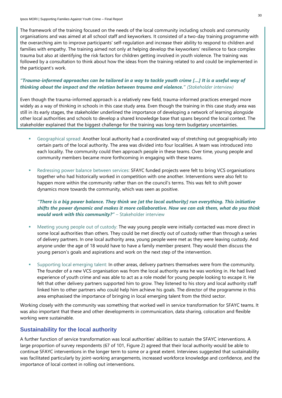The framework of the training focused on the needs of the local community including schools and community organisations and was aimed at all school staff and keyworkers. It consisted of a two-day training programme with the overarching aim to improve participants' self-regulation and increase their ability to respond to children and families with empathy. The training aimed not only at helping develop the keyworkers' resilience to face complex trauma but also at identifying the risk factors for children getting involved in youth violence. The training was followed by a consultation to think about how the ideas from the training related to and could be implemented in the participant's work.

*"Trauma-informed approaches can be tailored in a way to tackle youth crime […] It is a useful way of thinking about the impact and the relation between trauma and violence." (Stakeholder interview)*

Even though the trauma-informed approach is a relatively new field, trauma-informed practices emerged more widely as a way of thinking in schools in this case study area. Even though the training in this case study area was still in its early stages, the stakeholder underlined the importance of developing a network of learning alongside other local authorities and schools to develop a shared knowledge base that spans beyond the local context. The stakeholder explained that the biggest challenge for the training was long-term budgetary uncertainties.

- Geographical spread: Another local authority had a coordinated way of stretching out geographically into certain parts of the local authority. The area was divided into four localities. A team was introduced into each locality. The community could then approach people in these teams. Over time, young people and community members became more forthcoming in engaging with these teams.
- **EXECT** Redressing power balance between services: SFAYC funded projects were felt to bring VCS organisations together who had historically worked in competition with one another. Interventions were also felt to happen more within the community rather than on the council's terms. This was felt to shift power dynamics more towards the community, which was seen as positive.

### *"There is a big power balance. They think we [at the local authority] run everything. This initiative shifts the power dynamic and makes it more collaborative. Now we can ask them, what do you think would work with this community?" –* Stakeholder interview

- Meeting young people out of custody: The way young people were initially contacted was more direct in some local authorities than others. They could be met directly out of custody rather than through a series of delivery partners. In one local authority area, young people were met as they were leaving custody. And anyone under the age of 18 would have to have a family member present. They would then discuss the young person's goals and aspirations and work on the next step of the intervention.
- Supporting local emerging talent: In other areas, delivery partners themselves were from the community. The founder of a new VCS organisation was from the local authority area he was working in. He had lived experience of youth crime and was able to act as a role model for young people looking to escape it. He felt that other delivery partners supported him to grow. They listened to his story and local authority staff linked him to other partners who could help him achieve his goals. The director of the programme in this area emphasised the importance of bringing in local emerging talent from the third sector.

Working closely with the community was something that worked well in service transformation for SFAYC teams. It was also important that these and other developments in communication, data sharing, colocation and flexible working were sustainable.

### <span id="page-29-0"></span>**Sustainability for the local authority**

A further function of service transformation was local authorities' abilities to sustain the SFAYC interventions. A large proportion of survey respondents (67 of 101, [Figure 2\)](#page-30-0) agreed that their local authority would be able to continue SFAYC interventions in the longer term to some or a great extent. Interviews suggested that sustainability was facilitated particularly by joint-working arrangements, increased workforce knowledge and confidence, and the importance of local context in rolling out interventions.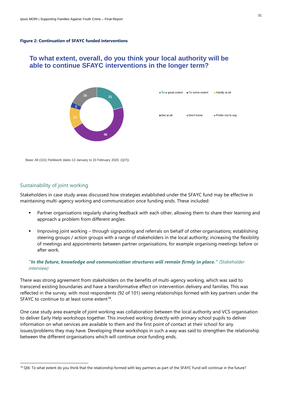#### <span id="page-30-0"></span>**Figure 2: Continuation of SFAYC funded interventions**

# **able to continue SFAYC interventions in the longer term?**



| ■ To a great extent ■ To some extent |            | Hardly at all       |
|--------------------------------------|------------|---------------------|
|                                      |            |                     |
| Not at all                           | Don't know | ■ Prefer not to say |

Base: All (101) Fieldwork dates 13 January to 23 February 2020. (QI7))

### Sustainability of joint working

Stakeholders in case study areas discussed how strategies established under the SFAYC fund may be effective in maintaining multi-agency working and communication once funding ends. These included:

- Partner organisations regularly sharing feedback with each other, allowing them to share their learning and approach a problem from different angles.
- Improving joint working through signposting and referrals on behalf of other organisations; establishing steering groups / action groups with a range of stakeholders in the local authority; increasing the flexibility of meetings and appointments between partner organisations, for example organising meetings before or after work.

### *"In the future, knowledge and communication structures will remain firmly in place." (Stakeholder interview)*

There was strong agreement from stakeholders on the benefits of multi-agency working, which was said to transcend existing boundaries and have a transformative effect on intervention delivery and families. This was reflected in the survey, with most respondents (92 of 101) seeing relationships formed with key partners under the SFAYC to continue to at least some extent<sup>18</sup>.

One case study area example of joint working was collaboration between the local authority and VCS organisation to deliver Early Help workshops together. This involved working directly with primary school pupils to deliver information on what services are available to them and the first point of contact at their school for any issues/problems they may have. Developing these workshops in such a way was said to strengthen the relationship between the different organisations which will continue once funding ends. To what extent, overall, do you think your local authority will be<br>able to continue SFAYC interventions in the longer term?<br>
New Action continue in the SFAYC interventions in the longer term?<br>
New Action relationship for t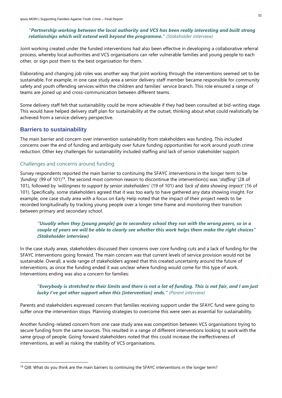### *"Partnership working between the local authority and VCS has been really interesting and built strong relationships which will extend well beyond the programme." (Stakeholder interview)*

Joint working created under the funded interventions had also been effective in developing a collaborative referral process, whereby local authorities and VCS organisations can refer vulnerable families and young people to each other, or sign post them to the best organisation for them.

Elaborating and changing job roles was another way that joint working through the interventions seemed set to be sustainable. For example, in one case study area a senior delivery staff member became responsible for community safety and youth offending services within the children and families' service branch. This role ensured a range of teams are joined up and cross-communication between different teams.

Some delivery staff felt that sustainability could be more achievable if they had been consulted at bid-writing stage. This would have helped delivery staff plan for sustainability at the outset, thinking about what could realistically be achieved from a service-delivery perspective.

### <span id="page-31-0"></span>**Barriers to sustainability**

The main barrier and concern over intervention sustainability from stakeholders was funding. This included concerns over the end of funding and ambiguity over future funding opportunities for work around youth crime reduction. Other key challenges for sustainability included staffing and lack of senior stakeholder support.

### Challenges and concerns around funding

Survey respondents reported the main barrier to continuing the SFAYC interventions in the longer term to be '*funding'* (99 of 101)<sup>19</sup>. The second most common reason to discontinue the intervention(s) was '*staffing'* (28 of 101), followed by *'willingness to support by senior stakeholders'* (19 of 101) and *'lack of data showing impact'* (16 of 101). Specifically, some stakeholders agreed that it was too early to have gathered any data showing insight. For example, one case study area with a focus on Early Help noted that the impact of their project needs to be recorded longitudinally by tracking young people over a longer time frame and monitoring their transition between primary and secondary school.

### *"Usually when they [young people] go to secondary school they run with the wrong peers, so in a couple of years we will be able to clearly see whether this work helps them make the right choices" (Stakeholder interview)*

In the case study areas, stakeholders discussed their concerns over core funding cuts and a lack of funding for the SFAYC interventions going forward. The main concern was that current levels of service provision would not be sustainable. Overall, a wide range of stakeholders agreed that this created uncertainty around the future of interventions, as once the funding ended it was unclear where funding would come for this type of work. Interventions ending was also a concern for families:

### *"Everybody is stretched to their limits and there is not a lot of funding. This is not fair, and I am just lucky I've got other support when this [intervention] ends." (Parent interview)*

Parents and stakeholders expressed concern that families receiving support under the SFAYC fund were going to suffer once the intervention stops. Planning strategies to overcome this were seen as essential for sustainability.

Another funding-related concern from one case study area was competition between VCS organisations trying to secure funding from the same sources. This resulted in a range of different interventions looking to work with the same group of people. Going forward stakeholders noted that this could increase the ineffectiveness of interventions, as well as risking the stability of VCS organisations.

 $19$  QI8: What do you think are the main barriers to continuing the SFAYC interventions in the longer term?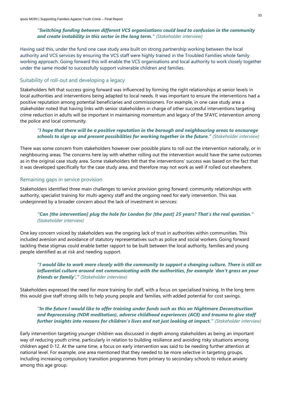### *"Switching funding between different VCS organisations could lead to confusion in the community and create instability in this sector in the long term." (Stakeholder interview)*

Having said this, under the fund one case study area built on strong partnership working between the local authority and VCS services by ensuring the VCS staff were highly trained in the Troubled Families whole family working approach. Going forward this will enable the VCS organisations and local authority to work closely together under the same model to successfully support vulnerable children and families.

### Suitability of roll-out and developing a legacy

Stakeholders felt that success going forward was influenced by forming the right relationships at senior levels in local authorities and interventions being adapted to local needs. It was important to ensure the interventions had a positive reputation among potential beneficiaries and commissioners. For example, in one case study area a stakeholder noted that having links with senior stakeholders in charge of other successful interventions targeting crime reduction in adults will be important in maintaining momentum and legacy of the SFAYC intervention among the police and local community.

### *"I hope that there will be a positive reputation in the borough and neighbouring areas to encourage schools to sign up and present possibilities for working together in the future." (Stakeholder interview)*

There was some concern from stakeholders however over possible plans to roll out the intervention nationally, or in neighbouring areas. The concerns here lay with whether rolling out the intervention would have the same outcomes as in the original case study area. Some stakeholders felt that the interventions' success was based on the fact that it was developed specifically for the case study area, and therefore may not work as well if rolled out elsewhere.

### Remaining gaps in service provision

Stakeholders identified three main challenges to service provision going forward: community relationships with authority, specialist training for multi-agency staff and the ongoing need for early intervention. This was underpinned by a broader concern about the lack of investment in services:

### *"Can [the intervention] plug the hole for London for [the past] 25 years? That's the real question." (Stakeholder interview)*

One key concern voiced by stakeholders was the ongoing lack of trust in authorities within communities. This included aversion and avoidance of statutory representatives such as police and social workers. Going forward tackling these stigmas could enable better rapport to be built between the local authority, families and young people identified as at risk and needing support.

*"I would like to work more closely with the community to support a changing culture. There is still an influential culture around not communicating with the authorities, for example 'don't grass on your friends or family'." (Stakeholder interview)*

Stakeholders expressed the need for more training for staff, with a focus on specialised training. In the long term this would give staff strong skills to help young people and families, with added potential for cost savings.

### *"In the future I would like to offer training under funds such as this on Nightmare Deconstruction and Reprocessing (NDR meditation), adverse childhood experiences (ACE) and trauma to give staff further insights into reasons for children's lives and not just looking at impact." (Stakeholder interview)*

Early intervention targeting younger children was discussed in depth among stakeholders as being an important way of reducing youth crime, particularly in relation to building resilience and avoiding risky situations among children aged 0-12. At the same time, a focus on early intervention was said to be needing further attention at national level. For example, *o*ne area mentioned that they needed to be more selective in targeting groups, including increasing compulsory transition programmes from primary to secondary schools to reduce anxiety among this age group.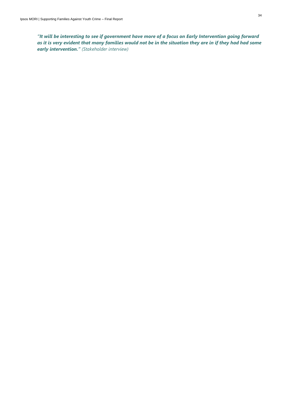*"It will be interesting to see if government have more of a focus on Early Intervention going forward as it is very evident that many families would not be in the situation they are in if they had had some early intervention." (Stakeholder interview)*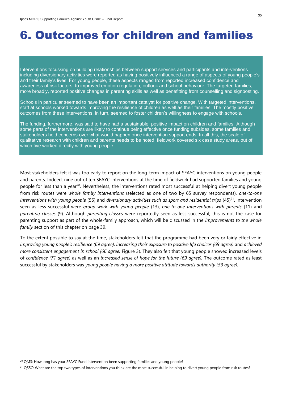## <span id="page-34-0"></span>6. Outcomes for children and families

Interventions focussing on building relationships between support services and participants and interventions including diversionary activities were reported as having positively influenced a range of aspects of young people's and their family's lives. For young people, these aspects ranged from reported increased confidence and awareness of risk factors, to improved emotion regulation, outlook and school behaviour. The targeted families, more broadly, reported positive changes in parenting skills as well as benefitting from counselling and signposting.

Schools in particular seemed to have been an important catalyst for positive change. With targeted interventions, staff at schools worked towards improving the resilience of children as well as their families. The mostly positive outcomes from these interventions, in turn, seemed to foster children's willingness to engage with schools.

The funding, furthermore, was said to have had a sustainable, positive impact on children and families. Although some parts of the interventions are likely to continue being effective once funding subsides, some families and stakeholders held concerns over what would happen once intervention support ends. In all this, the scale of qualitative research with children and parents needs to be noted: fieldwork covered six case study areas, out of which five worked directly with young people.

Most stakeholders felt it was too early to report on the long-term impact of SFAYC interventions on young people and parents. Indeed, nine out of ten SFAYC interventions at the time of fieldwork had supported families and young people for less than a year<sup>20</sup>. Nevertheless, the interventions rated most successful at helping divert young people from risk routes were *whole family interventions* (selected as one of two by 65 survey respondents), *one-to-one interventions with young people* (56) and *diversionary activities such as sport and residential trips* (45)<sup>21</sup>. Intervention seen as less successful were *group work with young people* (13), *one-to-one interventions with parents* (11) and *parenting classes* (9). Although *parenting classes* were reportedly seen as less successful, this is not the case for parenting support as part of the whole-family approach, which will be discussed in the *Improvements to the whole family* section of this chapter on page 39.

To the extent possible to say at the time, stakeholders felt that the programme had been very or fairly effective in *improving young people's resilience (69 agree), increasing their exposure to positive life choices (69 agree)* and *achieved more consistent engagement in school (66 agree;* [Figure 3\)](#page-35-1). They also felt that young people showed increased levels of *confidence (71 agree)* as well as an *increased sense of hope for the future (69 agree).* The outcome rated as least successful by stakeholders was *young people having a more positive attitude towards authority (53 agree).*

<sup>&</sup>lt;sup>20</sup> QM3: How long has your SFAYC Fund intervention been supporting families and young people?

<sup>&</sup>lt;sup>21</sup> QS5C: What are the top two types of interventions you think are the most successful in helping to divert young people from risk routes?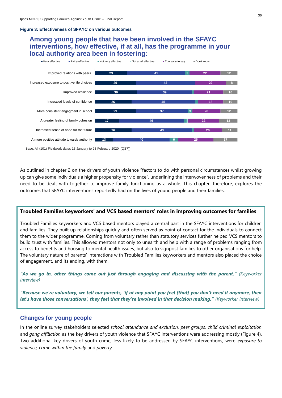#### <span id="page-35-1"></span>**Figure 3: Effectiveness of SFAYC on various outcomes**

### **Among young people that have been involved in the SFAYC interventions, how effective, if at all, has the programme in your local authority area been in fostering:**



Base: All (101) Fieldwork dates 13 January to 23 February 2020. (QS7))

As outlined in chapter 2 on the drivers of youth violence "factors to do with personal circumstances whilst growing up can give some individuals a higher propensity for violence", underlining the interwovenness of problems and their need to be dealt with together to improve family functioning as a whole. This chapter, therefore, explores the outcomes that SFAYC interventions reportedly had on the lives of young people and their families.

### **Troubled Families keyworkers' and VCS based mentors' roles in improving outcomes for families**

Troubled Families keyworkers and VCS based mentors played a central part in the SFAYC interventions for children and families. They built up relationships quickly and often served as point of contact for the individuals to connect them to the wider programme. Coming from voluntary rather than statutory services further helped VCS mentors to build trust with families. This allowed mentors not only to unearth and help with a range of problems ranging from access to benefits and housing to mental health issues, but also to signpost families to other organisations for help. The voluntary nature of parents' interactions with Troubled Families keyworkers and mentors also placed the choice of engagement, and its ending, with them.

*"As we go in, other things come out just through engaging and discussing with the parent." (Keyworker interview)*

*"Because we're voluntary, we tell our parents, 'if at any point you feel [that] you don't need it anymore, then let's have those conversations', they feel that they're involved in that decision making." (Keyworker interview)*

### <span id="page-35-0"></span>**Changes for young people**

In the online survey stakeholders selected *school attendance and exclusion, peer groups, child criminal exploitation*  and *gang affiliation* as the key drivers of youth violence that SFAYC interventions were addressing mostly [\(Figure 4\)](#page-36-0). Two additional key drivers of youth crime, less likely to be addressed by SFAYC interventions, were *exposure to violence, crime within the family* and *poverty.*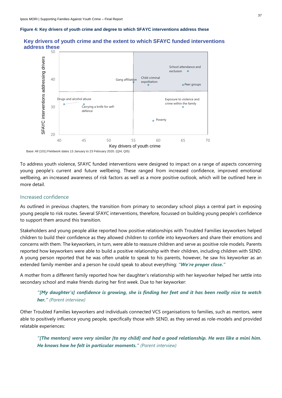#### <span id="page-36-0"></span>**Figure 4: Key drivers of youth crime and degree to which SFAYC interventions address these**



### **Key drivers of youth crime and the extent to which SFAYC funded interventions address these**

Base: All (101) Fieldwork dates 13 January to 23 February 2020. (QI4, QI5)

To address youth violence, SFAYC funded interventions were designed to impact on a range of aspects concerning young people's current and future wellbeing. These ranged from increased confidence, improved emotional wellbeing, an increased awareness of risk factors as well as a more positive outlook, which will be outlined here in more detail.

### Increased confidence

As outlined in previous chapters, the transition from primary to secondary school plays a central part in exposing young people to risk routes. Several SFAYC interventions, therefore, focussed on building young people's confidence to support them around this transition.

Stakeholders and young people alike reported how positive relationships with Troubled Families keyworkers helped children to build their confidence as they allowed children to confide into keyworkers and share their emotions and concerns with them. The keyworkers, in turn, were able to reassure children and serve as positive role models. Parents reported how keyworkers were able to build a positive relationship with their children, including children with SEND. A young person reported that he was often unable to speak to his parents, however, he saw his keyworker as an extended family member and a person he could speak to about everything: *"We're proper close."* 

A mother from a different family reported how her daughter's relationship with her keyworker helped her settle into secondary school and make friends during her first week. Due to her keyworker:

### *"[My daughter's] confidence is growing, she is finding her feet and it has been really nice to watch her." (Parent interview)*

Other Troubled Families keyworkers and individuals connected VCS organisations to families, such as mentors, were able to positively influence young people, specifically those with SEND, as they served as role-models and provided relatable experiences:

*"[The mentors] were very similar [to my child] and had a good relationship. He was like a mini him. He knows how he felt in particular moments." (Parent interview)*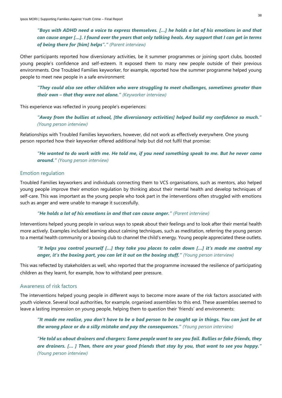*"Boys with ADHD need a voice to express themselves. […] he holds a lot of his emotions in and that can cause anger […]. I found over the years that only talking heals. Any support that I can get in terms of being there for [him] helps"." (Parent interview)*

Other participants reported how diversionary activities, be it summer programmes or joining sport clubs, boosted young people's confidence and self-esteem. It exposed them to many new people outside of their previous environments. One Troubled Families keyworker, for example, reported how the summer programme helped young people to meet new people in a safe environment:

*"They could also see other children who were struggling to meet challenges, sometimes greater than their own – that they were not alone." (Keyworker interview)*

This experience was reflected in young people's experiences:

*"Away from the bullies at school, [the diversionary activities] helped build my confidence so much." (Young person interview)*

Relationships with Troubled Families keyworkers, however, did not work as effectively everywhere. One young person reported how their keyworker offered additional help but did not fulfil that promise:

*"He wanted to do work with me. He told me, if you need something speak to me. But he never came around." (Young person interview)* 

### Emotion regulation

Troubled Families keyworkers and individuals connecting them to VCS organisations, such as mentors, also helped young people improve their emotion regulation by thinking about their mental health and develop techniques of self-care. This was important as the young people who took part in the interventions often struggled with emotions such as anger and were unable to manage it successfully.

### *"He holds a lot of his emotions in and that can cause anger." (Parent interview)*

Interventions helped young people in various ways to speak about their feelings and to look after their mental health more actively. Examples included learning about calming techniques, such as meditation, referring the young person to a mental health community or a boxing club to channel the child's energy. Young people appreciated these outlets.

### *"It helps you control yourself […] they take you places to calm down […] it's made me control my anger, it's the boxing part, you can let it out on the boxing stuff." (Young person interview)*

This was reflected by stakeholders as well, who reported that the programme increased the resilience of participating children as they learnt, for example, how to withstand peer pressure.

### Awareness of risk factors

The interventions helped young people in different ways to become more aware of the risk factors associated with youth violence. Several local authorities, for example, organised assemblies to this end. These assemblies seemed to leave a lasting impression on young people, helping them to question their 'friends' and environments:

*"It made me realise, you don't have to be a bad person to be caught up in things. You can just be at the wrong place or do a silly mistake and pay the consequences." (Young person interview)*

*"He told us about drainers and chargers: Some people want to see you fail. Bullies or fake friends, they are drainers. [… ] Then, there are your good friends that stay by you, that want to see you happy." (Young person interview)*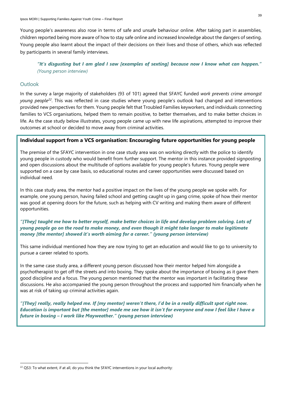Young people's awareness also rose in terms of safe and unsafe behaviour online. After taking part in assemblies, children reported being more aware of how to stay safe online and increased knowledge about the dangers of sexting. Young people also learnt about the impact of their decisions on their lives and those of others, which was reflected by participants in several family interviews.

*"It's disgusting but I am glad I saw [examples of sexting] because now I know what can happen." (Young person interview)*

### **Outlook**

In the survey a large majority of stakeholders (93 of 101) agreed that SFAYC funded *work prevents crime amongst young people<sup>22</sup>*. This was reflected in case studies where young people's outlook had changed and interventions provided new perspectives for them. Young people felt that Troubled Families keyworkers, and individuals connecting families to VCS organisations, helped them to remain positive, to better themselves, and to make better choices in life. As the case study below illustrates, young people came up with new life aspirations, attempted to improve their outcomes at school or decided to move away from criminal activities.

### **Individual support from a VCS organisation: Encouraging future opportunities for young people**

The premise of the SFAYC intervention in one case study area was on working directly with the police to identify young people in custody who would benefit from further support. The mentor in this instance provided signposting and open discussions about the multitude of options available for young people's futures. Young people were supported on a case by case basis, so educational routes and career opportunities were discussed based on individual need.

In this case study area, the mentor had a positive impact on the lives of the young people we spoke with. For example, one young person, having failed school and getting caught up in gang crime, spoke of how their mentor was good at opening doors for the future, such as helping with CV writing and making them aware of different opportunities.

### *"[They] taught me how to better myself, make better choices in life and develop problem solving. Lots of young people go on the road to make money, and even though it might take longer to make legitimate money [the mentor] showed it's worth aiming for a career." (young person interview)*

This same individual mentioned how they are now trying to get an education and would like to go to university to pursue a career related to sports.

In the same case study area, a different young person discussed how their mentor helped him alongside a psychotherapist to get off the streets and into boxing. They spoke about the importance of boxing as it gave them good discipline and a focus. The young person mentioned that the mentor was important in facilitating these discussions. He also accompanied the young person throughout the process and supported him financially when he was at risk of taking up criminal activities again.

*"[They] really, really helped me. If [my mentor] weren't there, I'd be in a really difficult spot right now. Education is important but [the mentor] made me see how it isn't for everyone and now I feel like I have a future in boxing – I work like Mayweather." (young person interview)*

<sup>&</sup>lt;sup>22</sup> QS3: To what extent, if at all, do you think the SFAYC interventions in your local authority: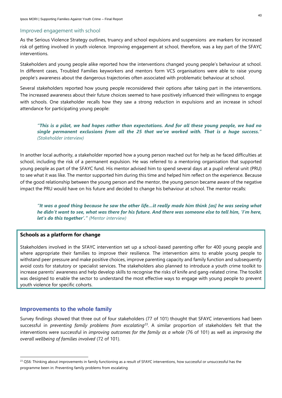#### Improved engagement with school

As the Serious Violence Strategy outlines, truancy and school expulsions and suspensions are markers for increased risk of getting involved in youth violence. Improving engagement at school, therefore, was a key part of the SFAYC interventions.

Stakeholders and young people alike reported how the interventions changed young people's behaviour at school. In different cases, Troubled Families keyworkers and mentors form VCS organisations were able to raise young people's awareness about the dangerous trajectories often associated with problematic behaviour at school.

Several stakeholders reported how young people reconsidered their options after taking part in the interventions. The increased awareness about their future choices seemed to have positively influenced their willingness to engage with schools. One stakeholder recalls how they saw a strong reduction in expulsions and an increase in school attendance for participating young people:

*"This is a pilot, we had hopes rather than expectations. And for all these young people, we had no single permanent exclusions from all the 25 that we've worked with. That is a huge success." (Stakeholder interview)*

In another local authority, a stakeholder reported how a young person reached out for help as he faced difficulties at school, including the risk of a permanent expulsion. He was referred to a mentoring organisation that supported young people as part of the SFAYC fund. His mentor advised him to spend several days at a pupil referral unit (PRU) to see what it was like. The mentor supported him during this time and helped him reflect on the experience. Because of the good relationship between the young person and the mentor, the young person became aware of the negative impact the PRU would have on his future and decided to change his behaviour at school. The mentor recalls:

*"It was a good thing because he saw the other life…it really made him think [as] he was seeing what he didn't want to see, what was there for his future. And there was someone else to tell him, 'I'm here, let's do this together'." (Mentor interview)*

### **Schools as a platform for change**

Stakeholders involved in the SFAYC intervention set up a school-based parenting offer for 400 young people and where appropriate their families to improve their resilience. The intervention aims to enable young people to withstand peer pressure and make positive choices, improve parenting capacity and family function and subsequently avoid costs for statutory or specialist services. The stakeholders also planned to introduce a youth crime toolkit to increase parents' awareness and help develop skills to recognise the risks of knife and gang-related crime. The toolkit was designed to enable the sector to understand the most effective ways to engage with young people to prevent youth violence for specific cohorts.

### <span id="page-39-0"></span>**Improvements to the whole family**

Survey findings showed that three out of four stakeholders (77 of 101) thought that SFAYC interventions had been successful in *preventing family problems from escalating<sup>23</sup>*. A similar proportion of stakeholders felt that the interventions were successful in *improving outcomes for the family as a whole* (76 of 101) as well as *improving the overall wellbeing of families involved* (72 of 101).

<sup>&</sup>lt;sup>23</sup> QS6: Thinking about improvements in family functioning as a result of SFAYC interventions, how successful or unsuccessful has the programme been in: Preventing family problems from escalating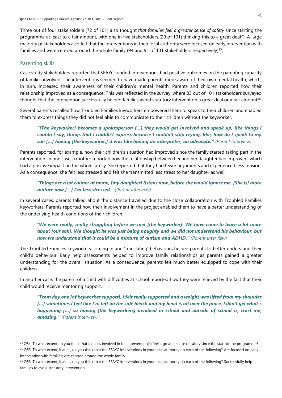Three out of four stakeholders (72 of 101) also thought *that families feel a greater sense of safety* since starting the programme at least to a fair amount, with one in five stakeholders (20 of 101) thinking this to a great deal<sup>24</sup>. A large majority of stakeholders also felt that the interventions in their local authority were focused on early intervention with families and were centred around the whole family (94 and 91 of 101 stakeholders respectively)<sup>25</sup>.

### Parenting skills

Case study stakeholders reported that SFAYC funded interventions had positive outcomes on the parenting capacity of families involved. The interventions seemed to have made parents more aware of their own mental health, which, in turn, increased their awareness of their children's mental health. Parents and children reported how their relationship improved as a consequence. This was reflected in the survey, where 83 out of 101 stakeholders surveyed thought that the intervention successfully helped families avoid statutory intervention a great deal or a fair amount $^{26}\!$ .

Several parents recalled how Troubled Families keyworkers empowered them to speak to their children and enabled them to express things they did not feel able to communicate to their children without the keyworker.

### *"[The keyworker] becomes a spokesperson […] they would get involved and speak up, like things I couldn't say, things that I couldn't express because I couldn't stop crying, like, how do I speak to my son […] having [the keyworker,] it was like having an interpreter, an advocate." (Parent interview)*

Parents reported, for example, how their children's situation had improved since the family started taking part in the intervention. In one case, a mother reported how the relationship between her and her daughter had improved, which had a positive impact on the whole family. She reported that they had fewer arguments and experienced less tension. As a consequence, she felt less stressed and felt she transmitted less stress to her daughter as well:

### "*Things are a lot calmer at home, [my daughter] listens now, before she would ignore me. [She is] more mature now,[…] I'm less stressed." (Parent interview)*

In several cases, parents talked about the distance travelled due to the close collaboration with Troubled Families keyworkers. Parents reported how their involvement in the project enabled them to have a better understanding of the underlying health conditions of their children.

### "*We were really, really struggling before we met [the keyworker]. We have come to learn a lot more about [our son]. We thought he was just being naughty and we did not understand his behaviour, but now we understand that it could be a mixture of autism and ADHD." (Parent interview)*

The Troubled Families keyworkers coming in and 'translating' behaviours helped parents to better understand their child's behaviour. Early help assessments helped to improve family relationships as parents gained a greater understanding for the overall situation. As a consequence, parents felt much better equipped to cope with their children.

In another case, the parent of a child with difficulties at school reported how they were relieved by the fact that their child would receive mentoring support.

*"From day one [of keyworker support], I felt really supported and a weight was lifted from my shoulder […] sometimes I feel like I'm left on the side bench and my head is all over the place, I don't get what's happening […] so having [the keyworkers] involved in school and outside of school is, trust me, amazing." (Parent interview)*

<sup>&</sup>lt;sup>24</sup> QS4: To what extent do you think that families involved in the intervention(s) feel a greater sense of safety since the start of the programme?

<sup>&</sup>lt;sup>25</sup> QS3: To what extent, if at all, do you think that the SFAYC interventions in your local authority do each of the following? Are focused on early intervention with families; Are centred around the whole family

<sup>&</sup>lt;sup>26</sup> QS3: To what extent, if at all, do you think that the SFAYC interventions in your local authority do each of the following? Successfully help families to avoid statutory intervention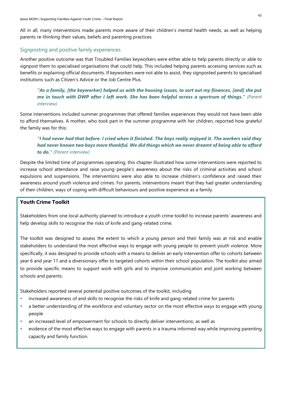All in all, many interventions made parents more aware of their children's mental health needs, as well as helping parents re-thinking their values, beliefs and parenting practices.

### Signposting and positive family experiences

Another positive outcome was that Troubled Families keyworkers were either able to help parents directly or able to signpost them to specialised organisations that could help. This included helping parents accessing services such as benefits or explaining official documents. If keyworkers were not able to assist, they signposted parents to specialised institutions such as Citizen's Advice or the Job Centre Plus.

### *"As a family, [the keyworker] helped us with the housing issues, to sort out my finances, [and] she put me in touch with DWP after I left work. She has been helpful across a spectrum of things." (Parent interview)*

Some interventions included summer programmes that offered families experiences they would not have been able to afford themselves. A mother, who took part in the summer programme with her children, reported how grateful the family was for this:

### *"I had never had that before. I cried when it finished. The boys really enjoyed it. The workers said they had never known two boys more thankful. We did things which we never dreamt of being able to afford to do." (Parent interview)*

Despite the limited time of programmes operating, this chapter illustrated how some interventions were reported to increase school attendance and raise young people's awareness about the risks of criminal activities and school expulsions and suspensions. The interventions were also able to increase children's confidence and raised their awareness around youth violence and crimes. For parents, interventions meant that they had greater understanding of their children, ways of coping with difficult behaviours and positive experience as a family.

### **Youth Crime Toolkit**

Stakeholders from one local authority planned to introduce a youth crime toolkit to increase parents' awareness and help develop skills to recognise the risks of knife and gang-related crime.

The toolkit was designed to assess the extent to which a young person and their family was at risk and enable stakeholders to understand the most effective ways to engage with young people to prevent youth violence. More specifically, it was designed to provide schools with a means to deliver an early intervention offer to cohorts between year 6 and year 11 and a diversionary offer to targeted cohorts within their school population. The toolkit also aimed to provide specific means to support work with girls and to improve communication and joint working between schools and parents.

Stakeholders reported several potential positive outcomes of the toolkit, including

- increased awareness of and skills to recognise the risks of knife and gang-related crime for parents
- **•** a better understanding of the workforce and voluntary sector on the most effective ways to engage with young people
- an increased level of empowerment for schools to directly deliver interventions; as well as
- evidence of the most effective ways to engage with parents in a trauma informed way while improving parenting capacity and family function.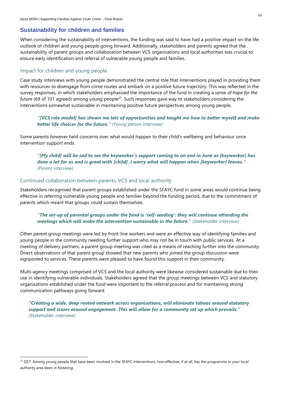### <span id="page-42-0"></span>**Sustainability for children and families**

When considering the sustainability of interventions, the funding was said to have had a positive impact on the life outlook of children and young people going forward. Additionally, stakeholders and parents agreed that the sustainability of parent groups and collaboration between VCS organisations and local authorities was crucial to ensure early identification and referral of vulnerable young people and families.

### Impact for children and young people

Case study interviews with young people demonstrated the central role that interventions played in providing them with resources to disengage from crime routes and embark on a positive future trajectory. This was reflected in the survey responses, in which stakeholders emphasised the importance of the fund in creating a *sense of hope for the future* (69 of 101 agreed) among young people<sup>27</sup>. Such responses gave way to stakeholders considering the interventions somewhat sustainable in maintaining positive future perspectives among young people.

*"[VCS role model] has shown me lots of opportunities and taught me how to better myself and make better life choices for the future." (Young person interview)*

Some parents however held concerns over what would happen to their child's wellbeing and behaviour once intervention support ends.

*"[My child] will be sad to see the keyworker's support coming to an end in June as [keyworker] has done a lot for us and is great with [child]. I worry what will happen when [keyworker] leaves." (Parent interview)*

### Continued collaboration between parents, VCS and local authority

Stakeholders recognised that parent groups established under the SFAYC fund in some areas would continue being effective in referring vulnerable young people and families beyond the funding period, due to the commitment of parents which meant that groups could sustain themselves.

### *"The set-up of parental groups under the fund is 'self-seeding': they will continue attending the meetings which will make the intervention sustainable in the future." (Stakeholder interview)*

Other parent group meetings were led by front-line workers and were an effective way of identifying families and young people in the community needing further support who may not be in touch with public services. At a meeting of delivery partners, a parent group meeting was cited as a means of reaching further into the community. Direct observations of that parent group showed that new parents who joined the group discussion were signposted to services. These parents were pleased to have found this support in their community.

Multi-agency meetings comprised of VCS and the local authority were likewise considered sustainable due to their use in identifying vulnerable individuals. Stakeholders agreed that the group meetings between VCS and statutory organisations established under the fund were important to the referral process and for maintaining strong communication pathways going forward.

*"Creating a wide, deep rooted network across organisations, will eliminate taboos around statutory support and issues around engagement. This will allow for a community set up which prevails." (Stakeholder interview)*

<sup>&</sup>lt;sup>27</sup> QS7: Among young people that have been involved in the SFAYC interventions, how effective, if at all, has the programme in your local authority area been in fostering: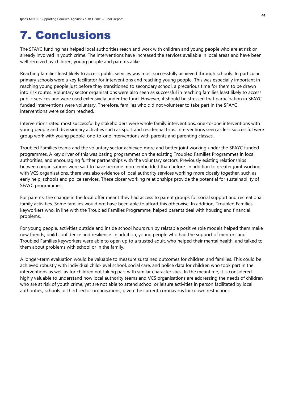### <span id="page-43-0"></span>7. Conclusions

The SFAYC funding has helped local authorities reach and work with children and young people who are at risk or already involved in youth crime. The interventions have increased the services available in local areas and have been well received by children, young people and parents alike.

Reaching families least likely to access public services was most successfully achieved through schools. In particular, primary schools were a key facilitator for interventions and reaching young people. This was especially important in reaching young people just before they transitioned to secondary school, a precarious time for them to be drawn into risk routes. Voluntary sector organisations were also seen as successful in reaching families least likely to access public services and were used extensively under the fund. However, it should be stressed that participation in SFAYC funded interventions were voluntary. Therefore, families who did not volunteer to take part in the SFAYC interventions were seldom reached.

Interventions rated most successful by stakeholders were whole family interventions, one-to-one interventions with young people and diversionary activities such as sport and residential trips. Interventions seen as less successful were group work with young people, one-to-one interventions with parents and parenting classes.

Troubled Families teams and the voluntary sector achieved more and better joint working under the SFAYC funded programmes. A key driver of this was basing programmes on the existing Troubled Families Programmes in local authorities, and encouraging further partnerships with the voluntary sectors. Previously existing relationships between organisations were said to have become more embedded than before. In addition to greater joint working with VCS organisations, there was also evidence of local authority services working more closely together, such as early help, schools and police services. These closer working relationships provide the potential for sustainability of SFAYC programmes.

For parents, the change in the local offer meant they had access to parent groups for social support and recreational family activities. Some families would not have been able to afford this otherwise. In addition, Troubled Families keyworkers who, in line with the Troubled Families Programme, helped parents deal with housing and financial problems.

For young people, activities outside and inside school hours run by relatable positive role models helped them make new friends, build confidence and resilience. In addition, young people who had the support of mentors and Troubled Families keyworkers were able to open up to a trusted adult, who helped their mental health, and talked to them about problems with school or in the family.

A longer-term evaluation would be valuable to measure sustained outcomes for children and families. This could be achieved robustly with individual child-level school, social care, and police data for children who took part in the interventions as well as for children not taking part with similar characteristics. In the meantime, it is considered highly valuable to understand how local authority teams and VCS organisations are addressing the needs of children who are at risk of youth crime, yet are not able to attend school or leisure activities in person facilitated by local authorities, schools or third sector organisations, given the current coronavirus lockdown restrictions.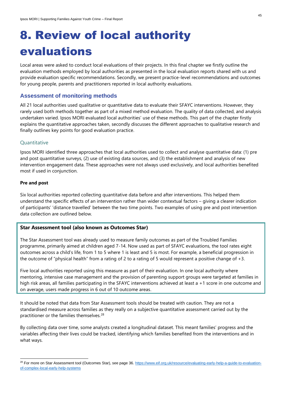# <span id="page-44-0"></span>8. Review of local authority evaluations

Local areas were asked to conduct local evaluations of their projects. In this final chapter we firstly outline the evaluation methods employed by local authorities as presented in the local evaluation reports shared with us and provide evaluation specific recommendations. Secondly, we present practice-level recommendations and outcomes for young people, parents and practitioners reported in local authority evaluations.

### <span id="page-44-1"></span>**Assessment of monitoring methods**

All 21 local authorities used qualitative or quantitative data to evaluate their SFAYC interventions. However, they rarely used both methods together as part of a mixed method evaluation. The quality of data collected, and analysis undertaken varied. Ipsos MORI evaluated local authorities' use of these methods. This part of the chapter firstly explains the quantitative approaches taken, secondly discusses the different approaches to qualitative research and finally outlines key points for good evaluation practice.

### **Quantitative**

Ipsos MORI identified three approaches that local authorities used to collect and analyse quantitative data: (1) pre and post quantitative surveys, (2) use of existing data sources, and (3) the establishment and analysis of new intervention engagement data. These approaches were not always used exclusively, and local authorities benefited most if used in conjunction.

### **Pre and post**

Six local authorities reported collecting quantitative data before and after interventions. This helped them understand the specific effects of an intervention rather than wider contextual factors – giving a clearer indication of participants' 'distance travelled' between the two time points. Two examples of using pre and post intervention data collection are outlined below.

### **Star Assessment tool (also known as Outcomes Star)**

The Star Assessment tool was already used to measure family outcomes as part of the Troubled Families programme, primarily aimed at children aged 7-14. Now used as part of SFAYC evaluations, the tool rates eight outcomes across a child's life, from 1 to 5 where 1 is least and 5 is most. For example, a beneficial progression in the outcome of "physical health" from a rating of 2 to a rating of 5 would represent a positive change of +3.

Five local authorities reported using this measure as part of their evaluation. In one local authority where mentoring, intensive case management and the provision of parenting support groups were targeted at families in high risk areas, all families participating in the SFAYC interventions achieved at least a +1 score in one outcome and on average, users made progress in 6 out of 10 outcome areas.

It should be noted that data from Star Assessment tools should be treated with caution. They are not a standardised measure across families as they really on a subjective quantitative assessment carried out by the practitioner or the families themselves.<sup>28</sup>

By collecting data over time, some analysts created a longitudinal dataset. This meant families' progress and the variables affecting their lives could be tracked, identifying which families benefited from the interventions and in what ways.

<sup>&</sup>lt;sup>28</sup> For more on Star Assessment tool (Outcomes Star), see page 36[. https://www.eif.org.uk/resource/evaluating-early-help-a-guide-to-evaluation](https://www.eif.org.uk/resource/evaluating-early-help-a-guide-to-evaluation-of-complex-local-early-help-systems)[of-complex-local-early-help-systems](https://www.eif.org.uk/resource/evaluating-early-help-a-guide-to-evaluation-of-complex-local-early-help-systems)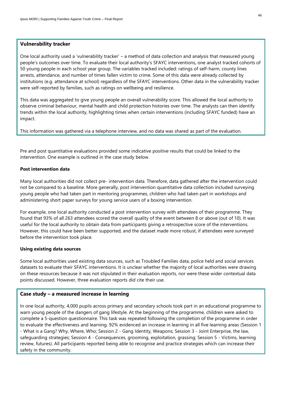### **Vulnerability tracker**

One local authority used a 'vulnerability tracker' – a method of data collection and analysis that measured young people's outcomes over time. To evaluate their local authority's SFAYC interventions, one analyst tracked cohorts of 50 young people in each school year group. The variables tracked included: ratings of self-harm, county lines arrests, attendance, and number of times fallen victim to crime. Some of this data were already collected by institutions (e.g. attendance at school) regardless of the SFAYC interventions. Other data in the vulnerability tracker were self-reported by families, such as ratings on wellbeing and resilience.

This data was aggregated to give young people an overall vulnerability score. This allowed the local authority to observe criminal behaviour, mental health and child protection histories over time. The analysts can then identify trends within the local authority, highlighting times when certain interventions (including SFAYC funded) have an impact.

This information was gathered via a telephone interview, and no data was shared as part of the evaluation.

Pre and post quantitative evaluations provided some indicative positive results that could be linked to the intervention. One example is outlined in the case study below.

### **Post intervention data**

Many local authorities did not collect pre- intervention data. Therefore, data gathered after the intervention could not be compared to a baseline. More generally, post intervention quantitative data collection included surveying young people who had taken part in mentoring programmes, children who had taken part in workshops and administering short paper surveys for young service users of a boxing intervention.

For example, one local authority conducted a post intervention survey with attendees of their programme. They found that 93% of all 263 attendees scored the overall quality of the event between 8 or above (out of 10). It was useful for the local authority to obtain data from participants giving a retrospective score of the interventions. However, this could have been better supported, and the dataset made more robust, if attendees were surveyed before the intervention took place.

### **Using existing data sources**

Some local authorities used existing data sources, such as Troubled Families data, police held and social services datasets to evaluate their SFAYC interventions. It is unclear whether the majority of local authorities were drawing on these resources because it was not stipulated in their evaluation reports, nor were these wider contextual data points discussed. However, three evaluation reports did cite their use.

### **Case study – a measured increase in learning**

In one local authority, 4,000 pupils across primary and secondary schools took part in an educational programme to warn young people of the dangers of gang lifestyle. At the beginning of the programme, children were asked to complete a 5-question questionnaire. This task was repeated following the completion of the programme in order to evaluate the effectiveness and learning. 92% evidenced an increase in learning in all five learning areas (Session 1 - What is a Gang? Why, Where, Who; Session 2 - Gang Identity, Weapons; Session 3 - Joint Enterprise, the law, safeguarding strategies; Session 4 - Consequences, grooming, exploitation, grassing; Session 5 - Victims, learning review, futures). All participants reported being able to recognise and practice strategies which can increase their safety in the community.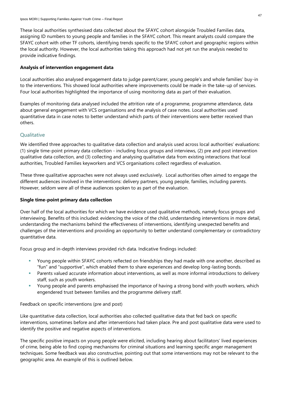These local authorities synthesised data collected about the SFAYC cohort alongside Troubled Families data, assigning ID numbers to young people and families in the SFAYC cohort. This meant analysts could compare the SFAYC cohort with other TF cohorts, identifying trends specific to the SFAYC cohort and geographic regions within the local authority. However, the local authorities taking this approach had not yet run the analysis needed to provide indicative findings.

### **Analysis of intervention engagement data**

Local authorities also analysed engagement data to judge parent/carer, young people's and whole families' buy-in to the interventions. This showed local authorities where improvements could be made in the take-up of services. Four local authorities highlighted the importance of using monitoring data as part of their evaluation.

Examples of monitoring data analysed included the attrition rate of a programme, programme attendance, data about general engagement with VCS organisations and the analysis of case notes. Local authorities used quantitative data in case notes to better understand which parts of their interventions were better received than others.

### **Qualitative**

We identified three approaches to qualitative data collection and analysis used across local authorities' evaluations: (1) single time-point primary data collection - including focus groups and interviews, (2) pre and post intervention qualitative data collection, and (3) collecting and analysing qualitative data from existing interactions that local authorities, Troubled Families keyworkers and VCS organisations collect regardless of evaluation.

These three qualitative approaches were not always used exclusively. Local authorities often aimed to engage the different audiences involved in the interventions: delivery partners, young people, families, including parents. However, seldom were all of these audiences spoken to as part of the evaluation.

### **Single time-point primary data collection**

Over half of the local authorities for which we have evidence used qualitative methods, namely focus groups and interviewing. Benefits of this included: evidencing the voice of the child, understanding interventions in more detail, understanding the mechanisms behind the effectiveness of interventions, identifying unexpected benefits and challenges of the interventions and providing an opportunity to better understand complementary or contradictory quantitative data.

Focus group and in-depth interviews provided rich data. Indicative findings included:

- **■** Young people within SFAYC cohorts reflected on friendships they had made with one another, described as "fun" and "supportive", which enabled them to share experiences and develop long-lasting bonds.
- Parents valued accurate information about interventions, as well as more informal introductions to delivery staff, such as youth workers.
- **EXT** Young people and parents emphasised the importance of having a strong bond with youth workers, which engendered trust between families and the programme delivery staff.

### Feedback on specific interventions (pre and post)

Like quantitative data collection, local authorities also collected qualitative data that fed back on specific interventions, sometimes before and after interventions had taken place. Pre and post qualitative data were used to identify the positive and negative aspects of interventions.

The specific positive impacts on young people were elicited, including hearing about facilitators' lived experiences of crime, being able to find coping mechanisms for criminal situations and learning specific anger management techniques. Some feedback was also constructive, pointing out that some interventions may not be relevant to the geographic area. An example of this is outlined below.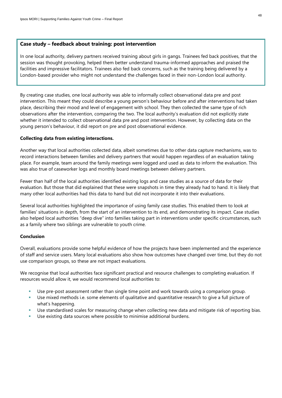### **Case study – feedback about training: post intervention**

In one local authority, delivery partners received training about girls in gangs. Trainees fed back positives, that the session was thought provoking, helped them better understand trauma-informed approaches and praised the facilities and impressive facilitators. Trainees also fed back concerns, such as the training being delivered by a London-based provider who might not understand the challenges faced in their non-London local authority.

By creating case studies, one local authority was able to informally collect observational data pre and post intervention. This meant they could describe a young person's behaviour before and after interventions had taken place, describing their mood and level of engagement with school. They then collected the same type of rich observations after the intervention, comparing the two. The local authority's evaluation did not explicitly state whether it intended to collect observational data pre and post intervention. However, by collecting data on the young person's behaviour, it did report on pre and post observational evidence.

### **Collecting data from existing interactions.**

Another way that local authorities collected data, albeit sometimes due to other data capture mechanisms, was to record interactions between families and delivery partners that would happen regardless of an evaluation taking place. For example, team around the family meetings were logged and used as data to inform the evaluation. This was also true of caseworker logs and monthly board meetings between delivery partners.

Fewer than half of the local authorities identified existing logs and case studies as a source of data for their evaluation. But those that did explained that these were snapshots in time they already had to hand. It is likely that many other local authorities had this data to hand but did not incorporate it into their evaluations.

Several local authorities highlighted the importance of using family case studies. This enabled them to look at families' situations in depth, from the start of an intervention to its end, and demonstrating its impact. Case studies also helped local authorities "deep dive" into families taking part in interventions under specific circumstances, such as a family where two siblings are vulnerable to youth crime.

### **Conclusion**

Overall, evaluations provide some helpful evidence of how the projects have been implemented and the experience of staff and service users. Many local evaluations also show how outcomes have changed over time, but they do not use comparison groups, so these are not impact evaluations.

We recognise that local authorities face significant practical and resource challenges to completing evaluation. If resources would allow it, we would recommend local authorities to:

- Use pre-post assessment rather than single time point and work towards using a comparison group.
- Use mixed methods i.e. some elements of qualitative and quantitative research to give a full picture of what's happening.
- Use standardised scales for measuring change when collecting new data and mitigate risk of reporting bias.
- Use existing data sources where possible to minimise additional burdens.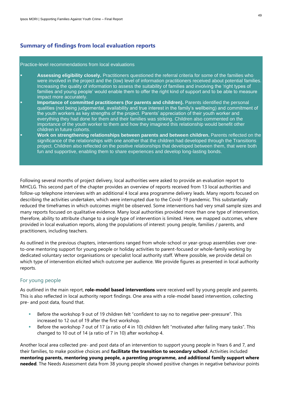### **Summary of findings from local evaluation reports**

#### Practice-level recommendations from local evaluations

- Assessing eligibility closely. Practitioners questioned the referral criteria for some of the families who were involved in the project and the (low) level of information practitioners received about potential families. Increasing the quality of information to assess the suitability of families and involving the 'right types of families and young people' would enable them to offer the right kind of support and to be able to measure impact more accurately.
- Importance of committed practitioners (for parents and children). Parents identified the personal qualities (not being judgemental, availability and true interest in the family's wellbeing) and commitment of the youth workers as key strengths of the project. Parents' appreciation of their youth worker and everything they had done for them and their families was striking. Children also commented on the importance of the youth worker to them and how they imagined this relationship would benefit other children in future cohorts.
- **Work on strengthening relationships between parents and between children.** Parents reflected on the significance of the relationships with one another that the children had developed through the Transitions project. Children also reflected on the positive relationships that developed between them, that were both fun and supportive, enabling them to share experiences and develop long-lasting bonds.

Following several months of project delivery, local authorities were asked to provide an evaluation report to MHCLG. This second part of the chapter provides an overview of reports received from 13 local authorities and follow-up telephone interviews with an additional 4 local area programme delivery leads. Many reports focused on describing the activities undertaken, which were interrupted due to the Covid-19 pandemic. This substantially reduced the timeframes in which outcomes might be observed. Some interventions had very small sample sizes and many reports focused on qualitative evidence. Many local authorities provided more than one type of intervention, therefore, ability to attribute change to a single type of intervention is limited. Here, we mapped outcomes, where provided in local evaluation reports, along the populations of interest: young people, families / parents, and practitioners, including teachers.

As outlined in the previous chapters, interventions ranged from whole-school or year-group assemblies over oneto-one mentoring support for young people or holiday activities to parent-focused or whole-family working by dedicated voluntary sector organisations or specialist local authority staff. Where possible, we provide detail on which type of intervention elicited which outcome per audience. We provide figures as presented in local authority reports.

### For young people

As outlined in the main report, **role-model based interventions** were received well by young people and parents. This is also reflected in local authority report findings. One area with a role-model based intervention, collecting pre- and post data, found that.

- Before the workshop 9 out of 19 children felt "confident to say no to negative peer-pressure". This increased to 12 out of 19 after the first workshop.
- Before the workshop 7 out of 17 (a ratio of 4 in 10) children felt "motivated after failing many tasks". This changed to 10 out of 14 (a ratio of 7 in 10) after workshop 4.

Another local area collected pre- and post data of an intervention to support young people in Years 6 and 7, and their families, to make positive choices and **facilitate the transition to secondary school**. Activities included **mentoring parents, mentoring young people, a parenting programme, and additional family support where needed**. The Needs Assessment data from 38 young people showed positive changes in negative behaviour points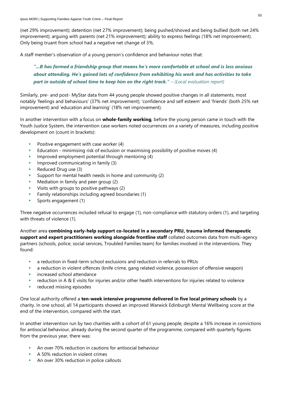(net 29% improvement); detention (net 27% improvement); being pushed/shoved and being bullied (both net 24% improvement); arguing with parents (net 21% improvement); ability to express feelings (18% net improvement). Only being truant from school had a negative net change of 3%.

A staff member's observation of a young person's confidence and behaviour notes that:

*"...B has formed a friendship group that means he's more comfortable at school and is less anxious about attending. He's gained lots of confidence from exhibiting his work and has activities to take part in outside of school time to keep him on the right track." – (Local evaluation report)*

Similarly, pre- and post- MyStar data from 44 young people showed positive changes in all statements, most notably 'feelings and behaviours' (37% net improvement); 'confidence and self esteem' and 'friends' (both 25% net improvement) and 'education and learning' (18% net improvement).

In another intervention with a focus on **whole-family working**, before the young person came in touch with the Youth Justice System, the intervention case workers noted occurrences on a variety of measures, including positive development on (count in brackets):

- Positive engagement with case worker (4)
- **E** Education minimising risk of exclusion or maximising possibility of positive moves (4)
- Improved employment potential through mentoring (4)
- **•** Improved communicating in family (3)
- Reduced Drug use (3)
- Support for mental health needs in home and community (2)
- Mediation in family and peer group (2)
- Visits with groups to positive pathways (2)
- **EXECUTE:** Family relationships including agreed boundaries (1)
- Sports engagement (1)

Three negative occurrences included refusal to engage (1), non-compliance with statutory orders (1), and targeting with threats of violence (1).

Another area **combining early-help support co-located in a secondary PRU, trauma informed therapeutic support and expert practitioners working alongside frontline staff** collated outcomes data from multi-agency partners (schools, police, social services, Troubled Families team) for families involved in the interventions. They found:

- a reduction in fixed-term school exclusions and reduction in referrals to PRUs
- a reduction in violent offences (knife crime, gang related violence, possession of offensive weapon)
- increased school attendance
- $reduction$  in A  $\&$  E visits for injuries and/or other health interventions for injuries related to violence
- reduced missing episodes

One local authority offered a **ten-week intensive programme delivered in five local primary schools** by a charity. In one school, all 14 participants showed an improved Warwick Edinburgh Mental Wellbeing score at the end of the intervention, compared with the start.

In another intervention run by two charities with a cohort of 61 young people, despite a 16% increase in convictions for antisocial behaviour, already during the second quarter of the programme, compared with quarterly figures from the previous year, there was:

- An over 70% reduction in cautions for antisocial behaviour
- A 50% reduction in violent crimes
- An over 30% reduction in police callouts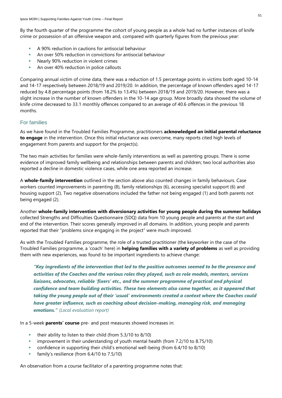By the fourth quarter of the programme the cohort of young people as a whole had no further instances of knife crime or possession of an offensive weapon and, compared with quarterly figures from the previous year:

- A 90% reduction in cautions for antisocial behaviour
- An over 50% reduction in convictions for antisocial behaviour
- Nearly 90% reduction in violent crimes
- An over 40% reduction in police callouts

Comparing annual victim of crime data, there was a reduction of 1.5 percentage points in victims both aged 10-14 and 14-17 respectively between 2018/19 and 2019/20. In addition, the percentage of known offenders aged 14-17 reduced by 4.8 percentage points (from 18.2% to 13.4%) between 2018/19 and 2019/20. However, there was a slight increase in the number of known offenders in the 10-14 age group. More broadly data showed the volume of knife crime decreased to 33.1 monthly offences compared to an average of 40.6 offences in the previous 18 months.

### For families

As we have found in the Troubled Families Programme, practitioners **acknowledged an initial parental reluctance to engage** in the intervention. Once this initial reluctance was overcome, many reports cited high levels of engagement from parents and support for the project(s).

The two main activities for families were whole-family interventions as well as parenting groups. There is some evidence of improved family wellbeing and relationships between parents and children; two local authorities also reported a decline in domestic violence cases, while one area reported an increase.

A **whole-family intervention** outlined in the section above also counted changes in family behaviours. Case workers counted improvements in parenting (8), family relationships (6), accessing specialist support (6) and housing support (2). Two negative observations included the father not being engaged (1) and both parents not being engaged (2).

Another **whole-family intervention with diversionary activities for young people during the summer holidays** collected Strengths and Difficulties Questionnaire (SDQ) data from 10 young people and parents at the start and end of the intervention. Their scores generally improved in all domains. In addition, young people and parents reported that their "problems since engaging in the project" were much improved.

As with the Troubled Families programme, the role of a trusted practitioner (the keyworker in the case of the Troubled Families programme, a 'coach' here) in **helping families with a variety of problems** as well as providing them with new experiences, was found to be important ingredients to achieve change:

*"Key ingredients of the intervention that led to the positive outcomes seemed to be the presence and activities of the Coaches and the various roles they played, such as role models, mentors, services liaisons, advocates, reliable 'fixers' etc., and the summer programme of practical and physical confidence and team building activities. These two elements also came together, as it appeared that taking the young people out of their 'usual' environments created a context where the Coaches could have greater influence, such as coaching about decision-making, managing risk, and managing emotions." (Local evaluation report)*

In a 5-week **parents' course** pre- and post measures showed increases in:

- their ability to listen to their child (from 5.3/10 to 8/10)
- improvement in their understanding of youth mental health (from 7.2/10 to 8.75/10)
- confidence in supporting their child's emotional well-being (from 6.4/10 to 8/10)
- **family's resilience (from 6.4/10 to 7.5/10)**

An observation from a course facilitator of a parenting programme notes that: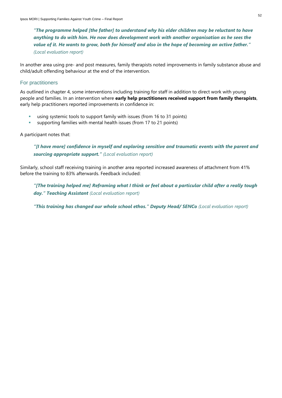*"The programme helped [the father] to understand why his elder children may be reluctant to have anything to do with him. He now does development work with another organisation as he sees the value of it. He wants to grow, both for himself and also in the hope of becoming an active father." (Local evaluation report)*

In another area using pre- and post measures, family therapists noted improvements in family substance abuse and child/adult offending behaviour at the end of the intervention.

### For practitioners

As outlined in chapter 4, some interventions including training for staff in addition to direct work with young people and families. In an intervention where **early help practitioners received support from family therapists**, early help practitioners reported improvements in confidence in:

- using systemic tools to support family with issues (from 16 to 31 points)
- supporting families with mental health issues (from 17 to 21 points)

### A participant notes that:

*"[I have more] confidence in myself and exploring sensitive and traumatic events with the parent and sourcing appropriate support." (Local evaluation report)*

Similarly, school staff receiving training in another area reported increased awareness of attachment from 41% before the training to 83% afterwards. Feedback included:

*"[The training helped me] Reframing what I think or feel about a particular child after a really tough day." Teaching Assistant (Local evaluation report)*

*"This training has changed our whole school ethos." Deputy Head/ SENCo (Local evaluation report)*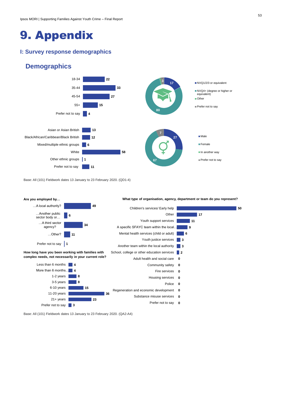### <span id="page-52-0"></span>9. Appendix

### <span id="page-52-1"></span>**I: Survey response demographics**

### **Demographics**



Base: All (101) Fieldwork dates 13 January to 23 February 2020. (QD1-4)



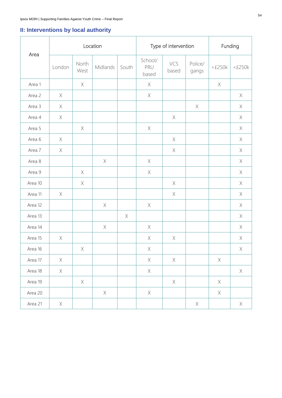### <span id="page-53-0"></span>**II: Interventions by local authority**

|         | Location    |                                                                                                                |             | Type of intervention |                         |                                                                                                                | Funding                                                               |                                                                                                                |                                                                       |
|---------|-------------|----------------------------------------------------------------------------------------------------------------|-------------|----------------------|-------------------------|----------------------------------------------------------------------------------------------------------------|-----------------------------------------------------------------------|----------------------------------------------------------------------------------------------------------------|-----------------------------------------------------------------------|
| Area    | London      | North<br>West                                                                                                  | Midlands    | South                | School/<br>PRU<br>based | VCS<br>based                                                                                                   | Police/<br>gangs                                                      | >E250k                                                                                                         | $<\pounds250k$                                                        |
| Area 1  |             | $\mathsf{X}% _{T}=\mathsf{Y}_{T}\left( \mathsf{Y}_{T}\right)$                                                  |             |                      | X                       |                                                                                                                |                                                                       | $\mathsf{X}% _{T}=\mathsf{Y}_{T}\left( \mathsf{Y}_{T}\right) \equiv\mathsf{Y}_{T}\left( \mathsf{Y}_{T}\right)$ |                                                                       |
| Area 2  | X           |                                                                                                                |             |                      | $\mathsf X$             |                                                                                                                |                                                                       |                                                                                                                | X                                                                     |
| Area 3  | X           |                                                                                                                |             |                      |                         |                                                                                                                | X                                                                     |                                                                                                                | X                                                                     |
| Area 4  | $\times$    |                                                                                                                |             |                      |                         | $\mathsf X$                                                                                                    |                                                                       |                                                                                                                | $\mathsf X$                                                           |
| Area 5  |             | $\mathsf X$                                                                                                    |             |                      | $\mathsf X$             |                                                                                                                |                                                                       |                                                                                                                | $\mathsf X$                                                           |
| Area 6  | X           |                                                                                                                |             |                      |                         | $\mathsf X$                                                                                                    |                                                                       |                                                                                                                | $\mathsf X$                                                           |
| Area 7  | X           |                                                                                                                |             |                      |                         | $\mathsf{X}% _{T}=\mathsf{Y}_{T}\left( \mathsf{Y}_{T}\right)$                                                  |                                                                       |                                                                                                                | X                                                                     |
| Area 8  |             |                                                                                                                | $\mathsf X$ |                      | $\mathsf X$             |                                                                                                                |                                                                       |                                                                                                                | $\mathsf{X}% _{T}=\mathsf{Y}_{T}\left( \mathsf{Y}_{T}\right)$         |
| Area 9  |             | $\mathsf{X}% _{T}=\mathsf{Y}_{T}\left( \mathsf{Y}_{T}\right) \equiv\mathsf{Y}_{T}\left( \mathsf{Y}_{T}\right)$ |             |                      | $\mathsf X$             |                                                                                                                |                                                                       |                                                                                                                | $\mathsf X$                                                           |
| Area 10 |             | $\mathsf{X}% _{T}=\mathsf{Y}_{T}\left( \mathsf{Y}_{T}\right) \equiv\mathsf{Y}_{T}\left( \mathsf{Y}_{T}\right)$ |             |                      |                         | $\mathsf X$                                                                                                    |                                                                       |                                                                                                                | $\mathsf X$                                                           |
| Area 11 | $\mathsf X$ |                                                                                                                |             |                      |                         | $\mathsf X$                                                                                                    |                                                                       |                                                                                                                | $\mathsf X$                                                           |
| Area 12 |             |                                                                                                                | $\mathsf X$ |                      | $\mathsf X$             |                                                                                                                |                                                                       |                                                                                                                | $\mathsf X$                                                           |
| Area 13 |             |                                                                                                                |             | $\mathsf X$          |                         |                                                                                                                |                                                                       |                                                                                                                | $\mathsf X$                                                           |
| Area 14 |             |                                                                                                                | $\mathsf X$ |                      | $\mathsf X$             |                                                                                                                |                                                                       |                                                                                                                | $\mathsf X$                                                           |
| Area 15 | $\mathsf X$ |                                                                                                                |             |                      | $\mathsf X$             | $\mathsf{X}% _{T}=\mathsf{Y}_{T}\left( \mathsf{Y}_{T}\right) \equiv\mathsf{Y}_{T}\left( \mathsf{Y}_{T}\right)$ |                                                                       |                                                                                                                | $\mathsf X$                                                           |
| Area 16 |             | $\times$                                                                                                       |             |                      | $\times$                |                                                                                                                |                                                                       |                                                                                                                | $\mathsf{X}% _{\mathsf{X}}^{\prime}=\mathsf{X}_{\mathsf{X}}^{\prime}$ |
| Area 17 | $\mathsf X$ |                                                                                                                |             |                      | $\mathsf X$             | $\mathsf X$                                                                                                    |                                                                       | $\mathsf X$                                                                                                    |                                                                       |
| Area 18 | $\times$    |                                                                                                                |             |                      | $\mathsf X$             |                                                                                                                |                                                                       |                                                                                                                | $\times$                                                              |
| Area 19 |             | $\mathsf X$                                                                                                    |             |                      |                         | $\mathsf X$                                                                                                    |                                                                       | $\mathsf X$                                                                                                    |                                                                       |
| Area 20 |             |                                                                                                                | $\mathsf X$ |                      | $\mathsf X$             |                                                                                                                |                                                                       | $\mathsf X$                                                                                                    |                                                                       |
| Area 21 | $\times$    |                                                                                                                |             |                      |                         |                                                                                                                | $\mathsf{X}% _{\mathsf{X}}^{\prime}=\mathsf{X}_{\mathsf{X}}^{\prime}$ |                                                                                                                | $\times$                                                              |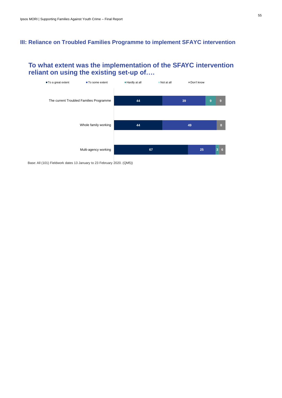### <span id="page-54-0"></span>**III: Reliance on Troubled Families Programme to implement SFAYC intervention**

### **To what extent was the implementation of the SFAYC intervention reliant on using the existing set-up of….**



Base: All (101) Fieldwork dates 13 January to 23 February 2020. (QM5))